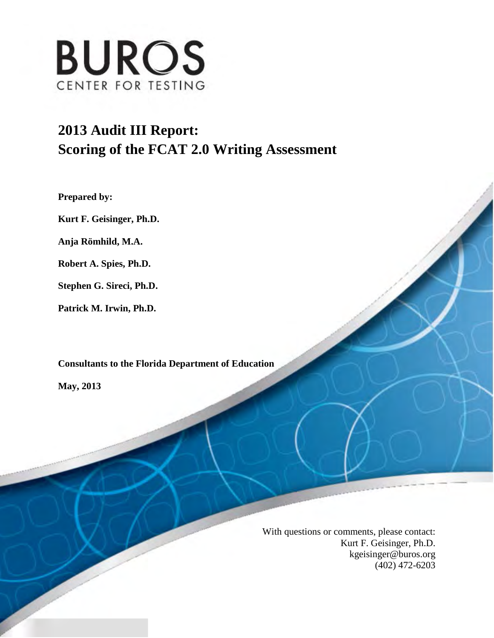

# **2013 Audit III Report: Scoring of the FCAT 2.0 Writing Assessment**

**Prepared by:**

**Kurt F. Geisinger, Ph.D.**

**Anja Römhild, M.A.**

**Robert A. Spies, Ph.D.**

**Stephen G. Sireci, Ph.D.**

**Patrick M. Irwin, Ph.D.** 

**Consultants to the Florida Department of Education** 

**May, 2013** 

With questions or comments, please contact: Kurt F. Geisinger, Ph.D. [kgeisinger@buros.org](mailto:kgeisinger@buros.org) (402) 472-6203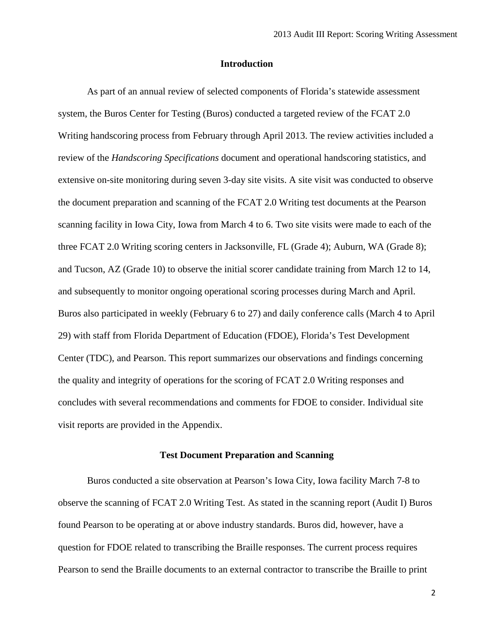#### **Introduction**

As part of an annual review of selected components of Florida's statewide assessment system, the Buros Center for Testing (Buros) conducted a targeted review of the FCAT 2.0 Writing handscoring process from February through April 2013. The review activities included a review of the *Handscoring Specifications* document and operational handscoring statistics, and extensive on-site monitoring during seven 3-day site visits. A site visit was conducted to observe the document preparation and scanning of the FCAT 2.0 Writing test documents at the Pearson scanning facility in Iowa City, Iowa from March 4 to 6. Two site visits were made to each of the three FCAT 2.0 Writing scoring centers in Jacksonville, FL (Grade 4); Auburn, WA (Grade 8); and Tucson, AZ (Grade 10) to observe the initial scorer candidate training from March 12 to 14, and subsequently to monitor ongoing operational scoring processes during March and April. Buros also participated in weekly (February 6 to 27) and daily conference calls (March 4 to April 29) with staff from Florida Department of Education (FDOE), Florida's Test Development Center (TDC), and Pearson. This report summarizes our observations and findings concerning the quality and integrity of operations for the scoring of FCAT 2.0 Writing responses and concludes with several recommendations and comments for FDOE to consider. Individual site visit reports are provided in the Appendix.

#### **Test Document Preparation and Scanning**

Buros conducted a site observation at Pearson's Iowa City, Iowa facility March 7-8 to observe the scanning of FCAT 2.0 Writing Test. As stated in the scanning report (Audit I) Buros found Pearson to be operating at or above industry standards. Buros did, however, have a question for FDOE related to transcribing the Braille responses. The current process requires Pearson to send the Braille documents to an external contractor to transcribe the Braille to print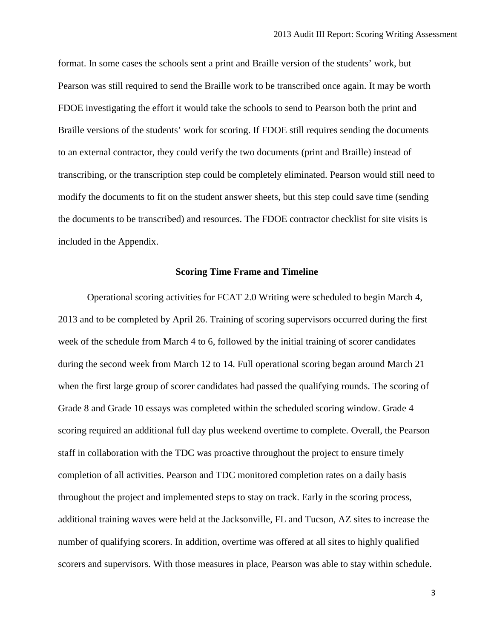format. In some cases the schools sent a print and Braille version of the students' work, but Pearson was still required to send the Braille work to be transcribed once again. It may be worth FDOE investigating the effort it would take the schools to send to Pearson both the print and Braille versions of the students' work for scoring. If FDOE still requires sending the documents to an external contractor, they could verify the two documents (print and Braille) instead of transcribing, or the transcription step could be completely eliminated. Pearson would still need to modify the documents to fit on the student answer sheets, but this step could save time (sending the documents to be transcribed) and resources. The FDOE contractor checklist for site visits is included in the Appendix.

#### **Scoring Time Frame and Timeline**

Operational scoring activities for FCAT 2.0 Writing were scheduled to begin March 4, 2013 and to be completed by April 26. Training of scoring supervisors occurred during the first week of the schedule from March 4 to 6, followed by the initial training of scorer candidates during the second week from March 12 to 14. Full operational scoring began around March 21 when the first large group of scorer candidates had passed the qualifying rounds. The scoring of Grade 8 and Grade 10 essays was completed within the scheduled scoring window. Grade 4 scoring required an additional full day plus weekend overtime to complete. Overall, the Pearson staff in collaboration with the TDC was proactive throughout the project to ensure timely completion of all activities. Pearson and TDC monitored completion rates on a daily basis throughout the project and implemented steps to stay on track. Early in the scoring process, additional training waves were held at the Jacksonville, FL and Tucson, AZ sites to increase the number of qualifying scorers. In addition, overtime was offered at all sites to highly qualified scorers and supervisors. With those measures in place, Pearson was able to stay within schedule.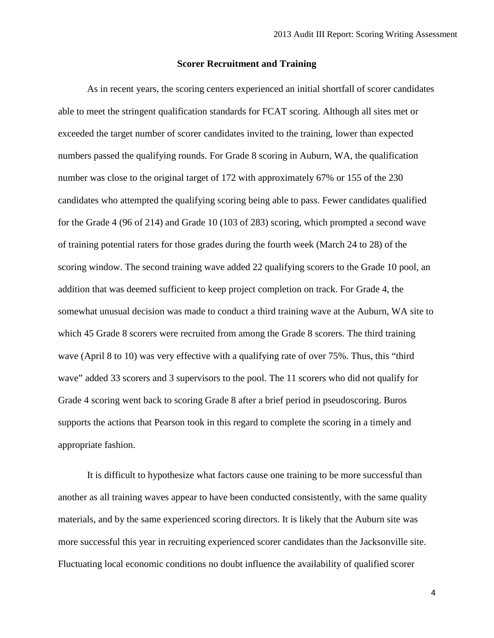#### **Scorer Recruitment and Training**

As in recent years, the scoring centers experienced an initial shortfall of scorer candidates able to meet the stringent qualification standards for FCAT scoring. Although all sites met or exceeded the target number of scorer candidates invited to the training, lower than expected numbers passed the qualifying rounds. For Grade 8 scoring in Auburn, WA, the qualification number was close to the original target of 172 with approximately 67% or 155 of the 230 candidates who attempted the qualifying scoring being able to pass. Fewer candidates qualified for the Grade 4 (96 of 214) and Grade 10 (103 of 283) scoring, which prompted a second wave of training potential raters for those grades during the fourth week (March 24 to 28) of the scoring window. The second training wave added 22 qualifying scorers to the Grade 10 pool, an addition that was deemed sufficient to keep project completion on track. For Grade 4, the somewhat unusual decision was made to conduct a third training wave at the Auburn, WA site to which 45 Grade 8 scorers were recruited from among the Grade 8 scorers. The third training wave (April 8 to 10) was very effective with a qualifying rate of over 75%. Thus, this "third wave" added 33 scorers and 3 supervisors to the pool. The 11 scorers who did not qualify for Grade 4 scoring went back to scoring Grade 8 after a brief period in pseudoscoring. Buros supports the actions that Pearson took in this regard to complete the scoring in a timely and appropriate fashion.

It is difficult to hypothesize what factors cause one training to be more successful than another as all training waves appear to have been conducted consistently, with the same quality materials, and by the same experienced scoring directors. It is likely that the Auburn site was more successful this year in recruiting experienced scorer candidates than the Jacksonville site. Fluctuating local economic conditions no doubt influence the availability of qualified scorer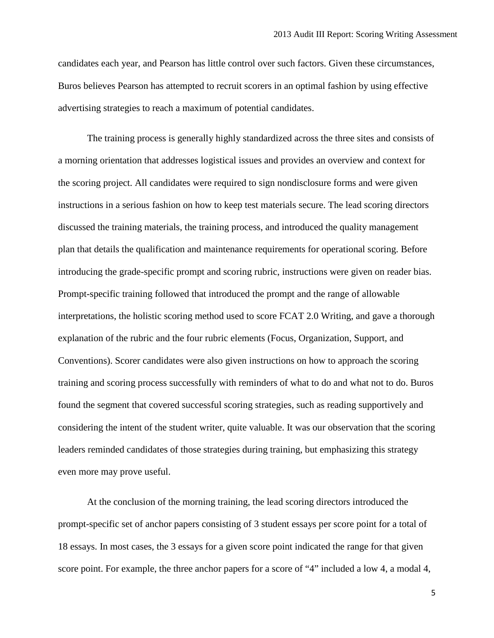candidates each year, and Pearson has little control over such factors. Given these circumstances, Buros believes Pearson has attempted to recruit scorers in an optimal fashion by using effective advertising strategies to reach a maximum of potential candidates.

The training process is generally highly standardized across the three sites and consists of a morning orientation that addresses logistical issues and provides an overview and context for the scoring project. All candidates were required to sign nondisclosure forms and were given instructions in a serious fashion on how to keep test materials secure. The lead scoring directors discussed the training materials, the training process, and introduced the quality management plan that details the qualification and maintenance requirements for operational scoring. Before introducing the grade-specific prompt and scoring rubric, instructions were given on reader bias. Prompt-specific training followed that introduced the prompt and the range of allowable interpretations, the holistic scoring method used to score FCAT 2.0 Writing, and gave a thorough explanation of the rubric and the four rubric elements (Focus, Organization, Support, and Conventions). Scorer candidates were also given instructions on how to approach the scoring training and scoring process successfully with reminders of what to do and what not to do. Buros found the segment that covered successful scoring strategies, such as reading supportively and considering the intent of the student writer, quite valuable. It was our observation that the scoring leaders reminded candidates of those strategies during training, but emphasizing this strategy even more may prove useful.

At the conclusion of the morning training, the lead scoring directors introduced the prompt-specific set of anchor papers consisting of 3 student essays per score point for a total of 18 essays. In most cases, the 3 essays for a given score point indicated the range for that given score point. For example, the three anchor papers for a score of "4" included a low 4, a modal 4,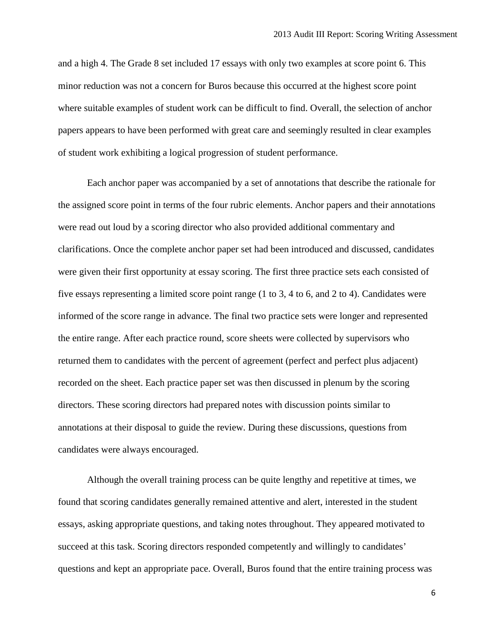and a high 4. The Grade 8 set included 17 essays with only two examples at score point 6. This minor reduction was not a concern for Buros because this occurred at the highest score point where suitable examples of student work can be difficult to find. Overall, the selection of anchor papers appears to have been performed with great care and seemingly resulted in clear examples of student work exhibiting a logical progression of student performance.

Each anchor paper was accompanied by a set of annotations that describe the rationale for the assigned score point in terms of the four rubric elements. Anchor papers and their annotations were read out loud by a scoring director who also provided additional commentary and clarifications. Once the complete anchor paper set had been introduced and discussed, candidates were given their first opportunity at essay scoring. The first three practice sets each consisted of five essays representing a limited score point range (1 to 3, 4 to 6, and 2 to 4). Candidates were informed of the score range in advance. The final two practice sets were longer and represented the entire range. After each practice round, score sheets were collected by supervisors who returned them to candidates with the percent of agreement (perfect and perfect plus adjacent) recorded on the sheet. Each practice paper set was then discussed in plenum by the scoring directors. These scoring directors had prepared notes with discussion points similar to annotations at their disposal to guide the review. During these discussions, questions from candidates were always encouraged.

Although the overall training process can be quite lengthy and repetitive at times, we found that scoring candidates generally remained attentive and alert, interested in the student essays, asking appropriate questions, and taking notes throughout. They appeared motivated to succeed at this task. Scoring directors responded competently and willingly to candidates' questions and kept an appropriate pace. Overall, Buros found that the entire training process was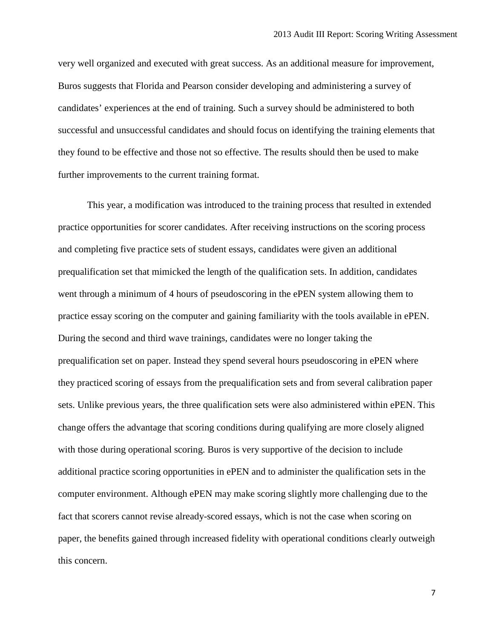very well organized and executed with great success. As an additional measure for improvement, Buros suggests that Florida and Pearson consider developing and administering a survey of candidates' experiences at the end of training. Such a survey should be administered to both successful and unsuccessful candidates and should focus on identifying the training elements that they found to be effective and those not so effective. The results should then be used to make further improvements to the current training format.

This year, a modification was introduced to the training process that resulted in extended practice opportunities for scorer candidates. After receiving instructions on the scoring process and completing five practice sets of student essays, candidates were given an additional prequalification set that mimicked the length of the qualification sets. In addition, candidates went through a minimum of 4 hours of pseudoscoring in the ePEN system allowing them to practice essay scoring on the computer and gaining familiarity with the tools available in ePEN. During the second and third wave trainings, candidates were no longer taking the prequalification set on paper. Instead they spend several hours pseudoscoring in ePEN where they practiced scoring of essays from the prequalification sets and from several calibration paper sets. Unlike previous years, the three qualification sets were also administered within ePEN. This change offers the advantage that scoring conditions during qualifying are more closely aligned with those during operational scoring. Buros is very supportive of the decision to include additional practice scoring opportunities in ePEN and to administer the qualification sets in the computer environment. Although ePEN may make scoring slightly more challenging due to the fact that scorers cannot revise already-scored essays, which is not the case when scoring on paper, the benefits gained through increased fidelity with operational conditions clearly outweigh this concern.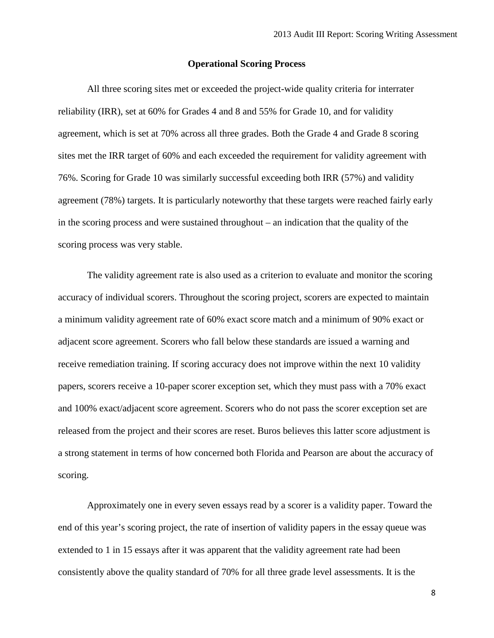#### **Operational Scoring Process**

All three scoring sites met or exceeded the project-wide quality criteria for interrater reliability (IRR), set at 60% for Grades 4 and 8 and 55% for Grade 10, and for validity agreement, which is set at 70% across all three grades. Both the Grade 4 and Grade 8 scoring sites met the IRR target of 60% and each exceeded the requirement for validity agreement with 76%. Scoring for Grade 10 was similarly successful exceeding both IRR (57%) and validity agreement (78%) targets. It is particularly noteworthy that these targets were reached fairly early in the scoring process and were sustained throughout – an indication that the quality of the scoring process was very stable.

The validity agreement rate is also used as a criterion to evaluate and monitor the scoring accuracy of individual scorers. Throughout the scoring project, scorers are expected to maintain a minimum validity agreement rate of 60% exact score match and a minimum of 90% exact or adjacent score agreement. Scorers who fall below these standards are issued a warning and receive remediation training. If scoring accuracy does not improve within the next 10 validity papers, scorers receive a 10-paper scorer exception set, which they must pass with a 70% exact and 100% exact/adjacent score agreement. Scorers who do not pass the scorer exception set are released from the project and their scores are reset. Buros believes this latter score adjustment is a strong statement in terms of how concerned both Florida and Pearson are about the accuracy of scoring.

Approximately one in every seven essays read by a scorer is a validity paper. Toward the end of this year's scoring project, the rate of insertion of validity papers in the essay queue was extended to 1 in 15 essays after it was apparent that the validity agreement rate had been consistently above the quality standard of 70% for all three grade level assessments. It is the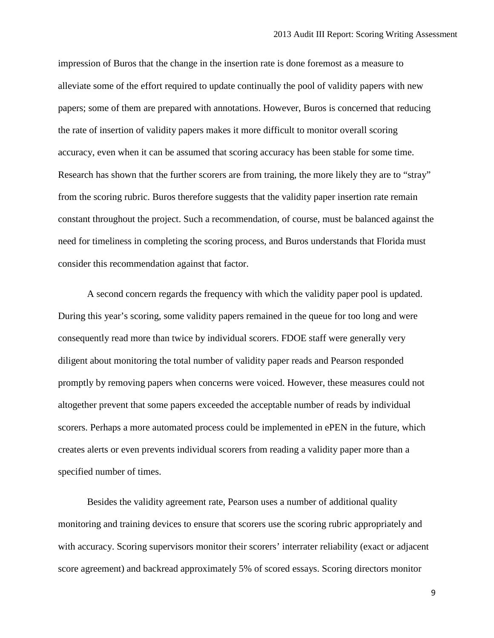impression of Buros that the change in the insertion rate is done foremost as a measure to alleviate some of the effort required to update continually the pool of validity papers with new papers; some of them are prepared with annotations. However, Buros is concerned that reducing the rate of insertion of validity papers makes it more difficult to monitor overall scoring accuracy, even when it can be assumed that scoring accuracy has been stable for some time. Research has shown that the further scorers are from training, the more likely they are to "stray" from the scoring rubric. Buros therefore suggests that the validity paper insertion rate remain constant throughout the project. Such a recommendation, of course, must be balanced against the need for timeliness in completing the scoring process, and Buros understands that Florida must consider this recommendation against that factor.

A second concern regards the frequency with which the validity paper pool is updated. During this year's scoring, some validity papers remained in the queue for too long and were consequently read more than twice by individual scorers. FDOE staff were generally very diligent about monitoring the total number of validity paper reads and Pearson responded promptly by removing papers when concerns were voiced. However, these measures could not altogether prevent that some papers exceeded the acceptable number of reads by individual scorers. Perhaps a more automated process could be implemented in ePEN in the future, which creates alerts or even prevents individual scorers from reading a validity paper more than a specified number of times.

Besides the validity agreement rate, Pearson uses a number of additional quality monitoring and training devices to ensure that scorers use the scoring rubric appropriately and with accuracy. Scoring supervisors monitor their scorers' interrater reliability (exact or adjacent score agreement) and backread approximately 5% of scored essays. Scoring directors monitor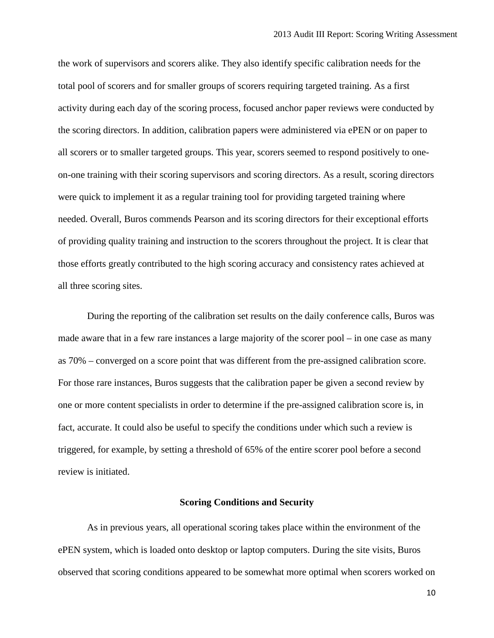the work of supervisors and scorers alike. They also identify specific calibration needs for the total pool of scorers and for smaller groups of scorers requiring targeted training. As a first activity during each day of the scoring process, focused anchor paper reviews were conducted by the scoring directors. In addition, calibration papers were administered via ePEN or on paper to all scorers or to smaller targeted groups. This year, scorers seemed to respond positively to oneon-one training with their scoring supervisors and scoring directors. As a result, scoring directors were quick to implement it as a regular training tool for providing targeted training where needed. Overall, Buros commends Pearson and its scoring directors for their exceptional efforts of providing quality training and instruction to the scorers throughout the project. It is clear that those efforts greatly contributed to the high scoring accuracy and consistency rates achieved at all three scoring sites.

During the reporting of the calibration set results on the daily conference calls, Buros was made aware that in a few rare instances a large majority of the scorer pool – in one case as many as 70% – converged on a score point that was different from the pre-assigned calibration score. For those rare instances, Buros suggests that the calibration paper be given a second review by one or more content specialists in order to determine if the pre-assigned calibration score is, in fact, accurate. It could also be useful to specify the conditions under which such a review is triggered, for example, by setting a threshold of 65% of the entire scorer pool before a second review is initiated.

#### **Scoring Conditions and Security**

As in previous years, all operational scoring takes place within the environment of the ePEN system, which is loaded onto desktop or laptop computers. During the site visits, Buros observed that scoring conditions appeared to be somewhat more optimal when scorers worked on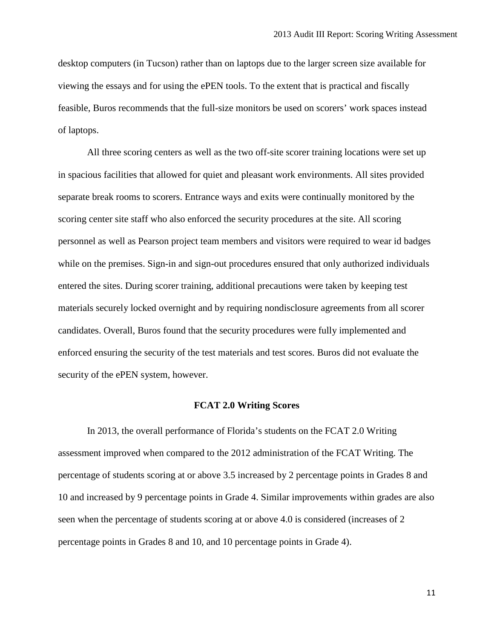desktop computers (in Tucson) rather than on laptops due to the larger screen size available for viewing the essays and for using the ePEN tools. To the extent that is practical and fiscally feasible, Buros recommends that the full-size monitors be used on scorers' work spaces instead of laptops.

All three scoring centers as well as the two off-site scorer training locations were set up in spacious facilities that allowed for quiet and pleasant work environments. All sites provided separate break rooms to scorers. Entrance ways and exits were continually monitored by the scoring center site staff who also enforced the security procedures at the site. All scoring personnel as well as Pearson project team members and visitors were required to wear id badges while on the premises. Sign-in and sign-out procedures ensured that only authorized individuals entered the sites. During scorer training, additional precautions were taken by keeping test materials securely locked overnight and by requiring nondisclosure agreements from all scorer candidates. Overall, Buros found that the security procedures were fully implemented and enforced ensuring the security of the test materials and test scores. Buros did not evaluate the security of the ePEN system, however.

#### **FCAT 2.0 Writing Scores**

In 2013, the overall performance of Florida's students on the FCAT 2.0 Writing assessment improved when compared to the 2012 administration of the FCAT Writing. The percentage of students scoring at or above 3.5 increased by 2 percentage points in Grades 8 and 10 and increased by 9 percentage points in Grade 4. Similar improvements within grades are also seen when the percentage of students scoring at or above 4.0 is considered (increases of 2 percentage points in Grades 8 and 10, and 10 percentage points in Grade 4).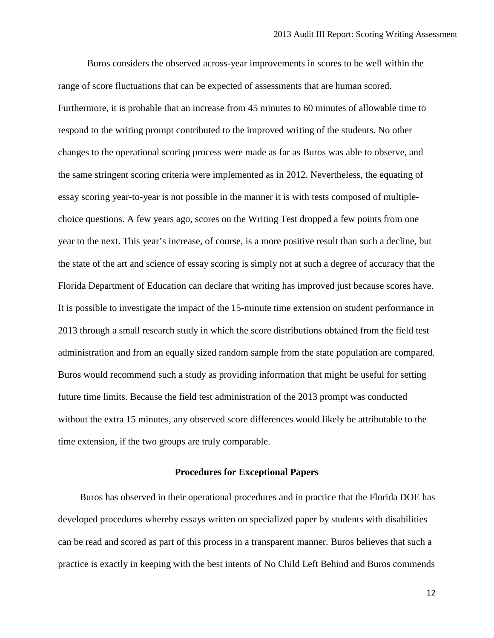Buros considers the observed across-year improvements in scores to be well within the range of score fluctuations that can be expected of assessments that are human scored. Furthermore, it is probable that an increase from 45 minutes to 60 minutes of allowable time to respond to the writing prompt contributed to the improved writing of the students. No other changes to the operational scoring process were made as far as Buros was able to observe, and the same stringent scoring criteria were implemented as in 2012. Nevertheless, the equating of essay scoring year-to-year is not possible in the manner it is with tests composed of multiplechoice questions. A few years ago, scores on the Writing Test dropped a few points from one year to the next. This year's increase, of course, is a more positive result than such a decline, but the state of the art and science of essay scoring is simply not at such a degree of accuracy that the Florida Department of Education can declare that writing has improved just because scores have. It is possible to investigate the impact of the 15-minute time extension on student performance in 2013 through a small research study in which the score distributions obtained from the field test administration and from an equally sized random sample from the state population are compared. Buros would recommend such a study as providing information that might be useful for setting future time limits. Because the field test administration of the 2013 prompt was conducted without the extra 15 minutes, any observed score differences would likely be attributable to the time extension, if the two groups are truly comparable.

#### **Procedures for Exceptional Papers**

Buros has observed in their operational procedures and in practice that the Florida DOE has developed procedures whereby essays written on specialized paper by students with disabilities can be read and scored as part of this process in a transparent manner. Buros believes that such a practice is exactly in keeping with the best intents of No Child Left Behind and Buros commends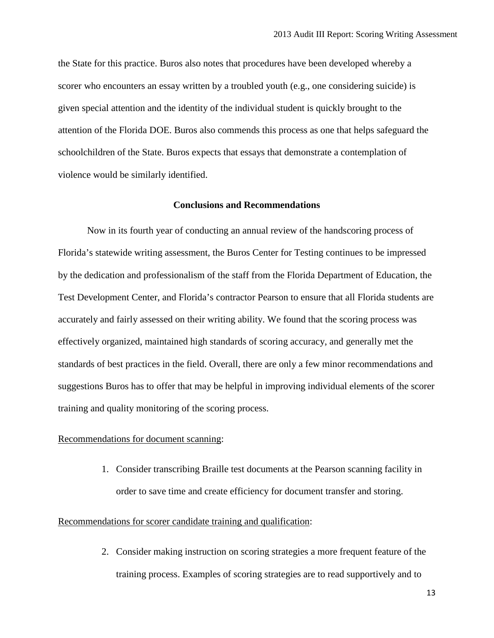the State for this practice. Buros also notes that procedures have been developed whereby a scorer who encounters an essay written by a troubled youth (e.g., one considering suicide) is given special attention and the identity of the individual student is quickly brought to the attention of the Florida DOE. Buros also commends this process as one that helps safeguard the schoolchildren of the State. Buros expects that essays that demonstrate a contemplation of violence would be similarly identified.

## **Conclusions and Recommendations**

Now in its fourth year of conducting an annual review of the handscoring process of Florida's statewide writing assessment, the Buros Center for Testing continues to be impressed by the dedication and professionalism of the staff from the Florida Department of Education, the Test Development Center, and Florida's contractor Pearson to ensure that all Florida students are accurately and fairly assessed on their writing ability. We found that the scoring process was effectively organized, maintained high standards of scoring accuracy, and generally met the standards of best practices in the field. Overall, there are only a few minor recommendations and suggestions Buros has to offer that may be helpful in improving individual elements of the scorer training and quality monitoring of the scoring process.

## Recommendations for document scanning:

1. Consider transcribing Braille test documents at the Pearson scanning facility in order to save time and create efficiency for document transfer and storing.

#### Recommendations for scorer candidate training and qualification:

2. Consider making instruction on scoring strategies a more frequent feature of the training process. Examples of scoring strategies are to read supportively and to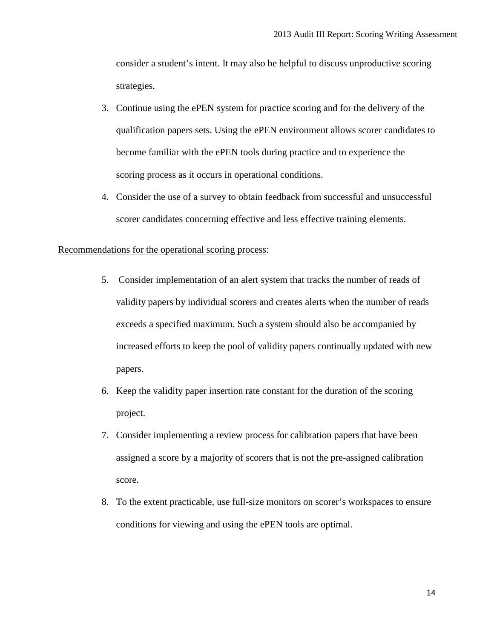consider a student's intent. It may also be helpful to discuss unproductive scoring strategies.

- 3. Continue using the ePEN system for practice scoring and for the delivery of the qualification papers sets. Using the ePEN environment allows scorer candidates to become familiar with the ePEN tools during practice and to experience the scoring process as it occurs in operational conditions.
- 4. Consider the use of a survey to obtain feedback from successful and unsuccessful scorer candidates concerning effective and less effective training elements.

### Recommendations for the operational scoring process:

- 5. Consider implementation of an alert system that tracks the number of reads of validity papers by individual scorers and creates alerts when the number of reads exceeds a specified maximum. Such a system should also be accompanied by increased efforts to keep the pool of validity papers continually updated with new papers.
- 6. Keep the validity paper insertion rate constant for the duration of the scoring project.
- 7. Consider implementing a review process for calibration papers that have been assigned a score by a majority of scorers that is not the pre-assigned calibration score.
- 8. To the extent practicable, use full-size monitors on scorer's workspaces to ensure conditions for viewing and using the ePEN tools are optimal.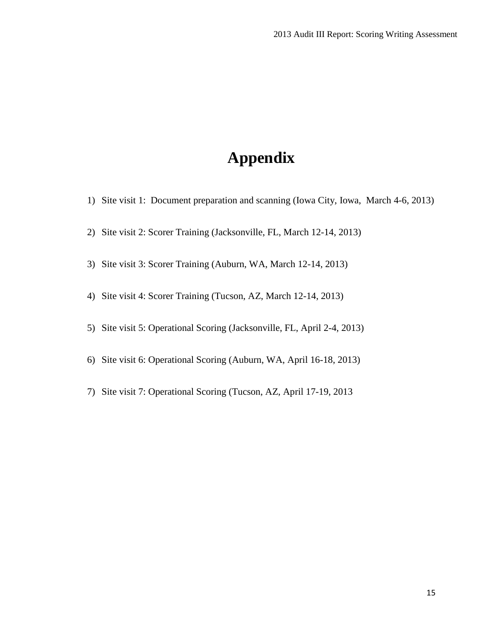# **Appendix**

- 1) Site visit 1: Document preparation and scanning (Iowa City, Iowa, March 4-6, 2013)
- 2) Site visit 2: Scorer Training (Jacksonville, FL, March 12-14, 2013)
- 3) Site visit 3: Scorer Training (Auburn, WA, March 12-14, 2013)
- 4) Site visit 4: Scorer Training (Tucson, AZ, March 12-14, 2013)
- 5) Site visit 5: Operational Scoring (Jacksonville, FL, April 2-4, 2013)
- 6) Site visit 6: Operational Scoring (Auburn, WA, April 16-18, 2013)
- 7) Site visit 7: Operational Scoring (Tucson, AZ, April 17-19, 2013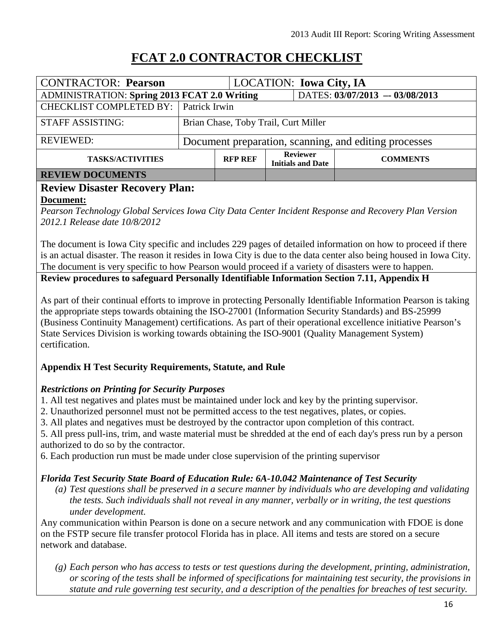## **FCAT 2.0 CONTRACTOR CHECKLIST**

| <b>CONTRACTOR: Pearson</b>                          |                                                       |                | <b>LOCATION: Iowa City, IA</b>              |                 |
|-----------------------------------------------------|-------------------------------------------------------|----------------|---------------------------------------------|-----------------|
| <b>ADMINISTRATION: Spring 2013 FCAT 2.0 Writing</b> |                                                       |                | DATES: 03/07/2013 - 03/08/2013              |                 |
| <b>CHECKLIST COMPLETED BY:</b> Patrick Irwin        |                                                       |                |                                             |                 |
| <b>STAFF ASSISTING:</b>                             | Brian Chase, Toby Trail, Curt Miller                  |                |                                             |                 |
| <b>REVIEWED:</b>                                    | Document preparation, scanning, and editing processes |                |                                             |                 |
| <b>TASKS/ACTIVITIES</b>                             |                                                       | <b>RFP REF</b> | <b>Reviewer</b><br><b>Initials and Date</b> | <b>COMMENTS</b> |
| DEVIEW DOCUMENTS                                    |                                                       |                |                                             |                 |

## **REVIEW DOCUMENTS**

## **Review Disaster Recovery Plan:**

## **Document:**

*Pearson Technology Global Services Iowa City Data Center Incident Response and Recovery Plan Version 2012.1 Release date 10/8/2012* 

The document is Iowa City specific and includes 229 pages of detailed information on how to proceed if there is an actual disaster. The reason it resides in Iowa City is due to the data center also being housed in Iowa City. The document is very specific to how Pearson would proceed if a variety of disasters were to happen.

**Review procedures to safeguard Personally Identifiable Information Section 7.11, Appendix H**

As part of their continual efforts to improve in protecting Personally Identifiable Information Pearson is taking the appropriate steps towards obtaining the ISO-27001 (Information Security Standards) and BS-25999 (Business Continuity Management) certifications. As part of their operational excellence initiative Pearson's State Services Division is working towards obtaining the ISO-9001 (Quality Management System) certification.

## **Appendix H Test Security Requirements, Statute, and Rule**

## *Restrictions on Printing for Security Purposes*

- 1. All test negatives and plates must be maintained under lock and key by the printing supervisor.
- 2. Unauthorized personnel must not be permitted access to the test negatives, plates, or copies.
- 3. All plates and negatives must be destroyed by the contractor upon completion of this contract.

5. All press pull-ins, trim, and waste material must be shredded at the end of each day's press run by a person authorized to do so by the contractor.

6. Each production run must be made under close supervision of the printing supervisor

## *Florida Test Security State Board of Education Rule: 6A-10.042 Maintenance of Test Security*

*(a) Test questions shall be preserved in a secure manner by individuals who are developing and validating the tests. Such individuals shall not reveal in any manner, verbally or in writing, the test questions under development.* 

Any communication within Pearson is done on a secure network and any communication with FDOE is done on the FSTP secure file transfer protocol Florida has in place. All items and tests are stored on a secure network and database.

*(g) Each person who has access to tests or test questions during the development, printing, administration, or scoring of the tests shall be informed of specifications for maintaining test security, the provisions in statute and rule governing test security, and a description of the penalties for breaches of test security.*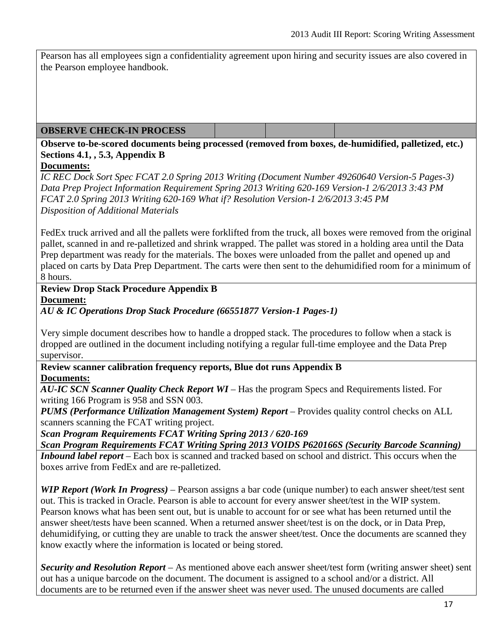Pearson has all employees sign a confidentiality agreement upon hiring and security issues are also covered in the Pearson employee handbook.

## **OBSERVE CHECK-IN PROCESS**

## **Observe to-be-scored documents being processed (removed from boxes, de-humidified, palletized, etc.) Sections 4.1, , 5.3, Appendix B**

## **Documents:**

*IC REC Dock Sort Spec FCAT 2.0 Spring 2013 Writing (Document Number 49260640 Version-5 Pages-3) Data Prep Project Information Requirement Spring 2013 Writing 620-169 Version-1 2/6/2013 3:43 PM FCAT 2.0 Spring 2013 Writing 620-169 What if? Resolution Version-1 2/6/2013 3:45 PM Disposition of Additional Materials* 

FedEx truck arrived and all the pallets were forklifted from the truck, all boxes were removed from the original pallet, scanned in and re-palletized and shrink wrapped. The pallet was stored in a holding area until the Data Prep department was ready for the materials. The boxes were unloaded from the pallet and opened up and placed on carts by Data Prep Department. The carts were then sent to the dehumidified room for a minimum of 8 hours.

**Review Drop Stack Procedure Appendix B Document:**

## *AU & IC Operations Drop Stack Procedure (66551877 Version-1 Pages-1)*

Very simple document describes how to handle a dropped stack. The procedures to follow when a stack is dropped are outlined in the document including notifying a regular full-time employee and the Data Prep supervisor.

## **Review scanner calibration frequency reports, Blue dot runs Appendix B Documents:**

*AU-IC SCN Scanner Quality Check Report WI* – Has the program Specs and Requirements listed. For writing 166 Program is 958 and SSN 003.

*PUMS (Performance Utilization Management System) Report* – Provides quality control checks on ALL scanners scanning the FCAT writing project.

*Scan Program Requirements FCAT Writing Spring 2013 / 620-169* 

*Scan Program Requirements FCAT Writing Spring 2013 VOIDS P620166S (Security Barcode Scanning)*

*Inbound label report* – Each box is scanned and tracked based on school and district. This occurs when the boxes arrive from FedEx and are re-palletized.

*WIP Report (Work In Progress)* – Pearson assigns a bar code (unique number) to each answer sheet/test sent out. This is tracked in Oracle. Pearson is able to account for every answer sheet/test in the WIP system. Pearson knows what has been sent out, but is unable to account for or see what has been returned until the answer sheet/tests have been scanned. When a returned answer sheet/test is on the dock, or in Data Prep, dehumidifying, or cutting they are unable to track the answer sheet/test. Once the documents are scanned they know exactly where the information is located or being stored.

*Security and Resolution Report* – As mentioned above each answer sheet/test form (writing answer sheet) sent out has a unique barcode on the document. The document is assigned to a school and/or a district. All documents are to be returned even if the answer sheet was never used. The unused documents are called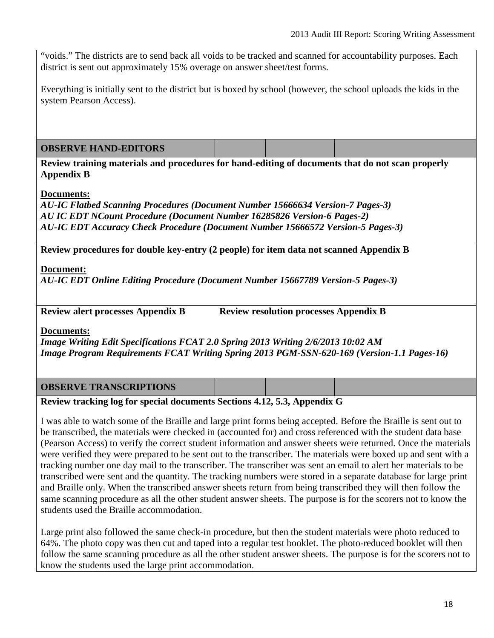"voids." The districts are to send back all voids to be tracked and scanned for accountability purposes. Each district is sent out approximately 15% overage on answer sheet/test forms.

Everything is initially sent to the district but is boxed by school (however, the school uploads the kids in the system Pearson Access).

## **OBSERVE HAND-EDITORS**

**Review training materials and procedures for hand-editing of documents that do not scan properly Appendix B**

## **Documents:**

*AU-IC Flatbed Scanning Procedures (Document Number 15666634 Version-7 Pages-3) AU IC EDT NCount Procedure (Document Number 16285826 Version-6 Pages-2) AU-IC EDT Accuracy Check Procedure (Document Number 15666572 Version-5 Pages-3)* 

**Review procedures for double key-entry (2 people) for item data not scanned Appendix B**

## **Document:**

*AU-IC EDT Online Editing Procedure (Document Number 15667789 Version-5 Pages-3)* 

**Review alert processes Appendix B** Review resolution processes Appendix B

**Documents:**

*Image Writing Edit Specifications FCAT 2.0 Spring 2013 Writing 2/6/2013 10:02 AM Image Program Requirements FCAT Writing Spring 2013 PGM-SSN-620-169 (Version-1.1 Pages-16)*

## **OBSERVE TRANSCRIPTIONS**

## **Review tracking log for special documents Sections 4.12, 5.3, Appendix G**

I was able to watch some of the Braille and large print forms being accepted. Before the Braille is sent out to be transcribed, the materials were checked in (accounted for) and cross referenced with the student data base (Pearson Access) to verify the correct student information and answer sheets were returned. Once the materials were verified they were prepared to be sent out to the transcriber. The materials were boxed up and sent with a tracking number one day mail to the transcriber. The transcriber was sent an email to alert her materials to be transcribed were sent and the quantity. The tracking numbers were stored in a separate database for large print and Braille only. When the transcribed answer sheets return from being transcribed they will then follow the same scanning procedure as all the other student answer sheets. The purpose is for the scorers not to know the students used the Braille accommodation.

Large print also followed the same check-in procedure, but then the student materials were photo reduced to 64%. The photo copy was then cut and taped into a regular test booklet. The photo-reduced booklet will then follow the same scanning procedure as all the other student answer sheets. The purpose is for the scorers not to know the students used the large print accommodation.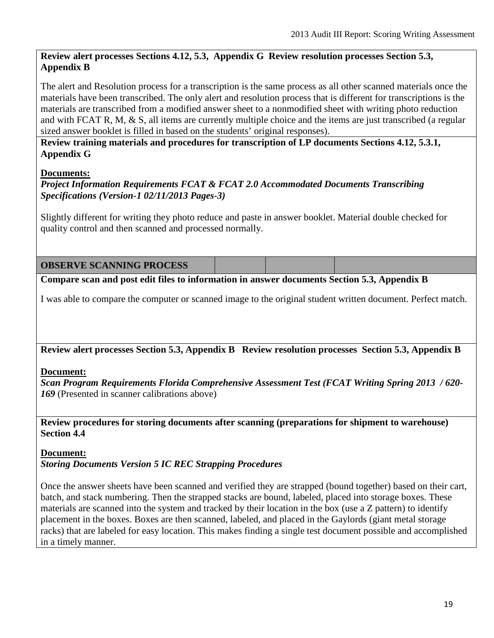## **Review alert processes Sections 4.12, 5.3, Appendix G Review resolution processes Section 5.3, Appendix B**

The alert and Resolution process for a transcription is the same process as all other scanned materials once the materials have been transcribed. The only alert and resolution process that is different for transcriptions is the materials are transcribed from a modified answer sheet to a nonmodified sheet with writing photo reduction and with FCAT R, M, & S, all items are currently multiple choice and the items are just transcribed (a regular sized answer booklet is filled in based on the students' original responses).

**Review training materials and procedures for transcription of LP documents Sections 4.12, 5.3.1, Appendix G**

## **Documents:**

*Project Information Requirements FCAT & FCAT 2.0 Accommodated Documents Transcribing Specifications (Version-1 02/11/2013 Pages-3)* 

Slightly different for writing they photo reduce and paste in answer booklet. Material double checked for quality control and then scanned and processed normally.

**OBSERVE SCANNING PROCESS**

**Compare scan and post edit files to information in answer documents Section 5.3, Appendix B**

I was able to compare the computer or scanned image to the original student written document. Perfect match.

**Review alert processes Section 5.3, Appendix B Review resolution processes Section 5.3, Appendix B**

## **Document:**

*Scan Program Requirements Florida Comprehensive Assessment Test (FCAT Writing Spring 2013 / 620- 169* (Presented in scanner calibrations above)

**Review procedures for storing documents after scanning (preparations for shipment to warehouse) Section 4.4** 

## **Document:**

*Storing Documents Version 5 IC REC Strapping Procedures* 

Once the answer sheets have been scanned and verified they are strapped (bound together) based on their cart, batch, and stack numbering. Then the strapped stacks are bound, labeled, placed into storage boxes. These materials are scanned into the system and tracked by their location in the box (use a Z pattern) to identify placement in the boxes. Boxes are then scanned, labeled, and placed in the Gaylords (giant metal storage racks) that are labeled for easy location. This makes finding a single test document possible and accomplished in a timely manner.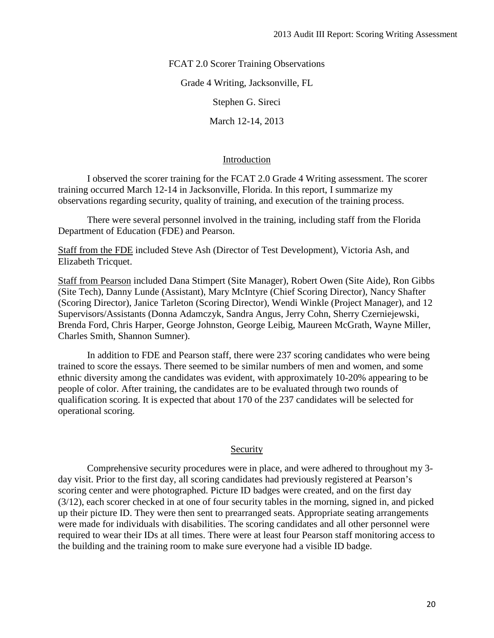FCAT 2.0 Scorer Training Observations

Grade 4 Writing, Jacksonville, FL

Stephen G. Sireci

March 12-14, 2013

## Introduction

I observed the scorer training for the FCAT 2.0 Grade 4 Writing assessment. The scorer training occurred March 12-14 in Jacksonville, Florida. In this report, I summarize my observations regarding security, quality of training, and execution of the training process.

There were several personnel involved in the training, including staff from the Florida Department of Education (FDE) and Pearson.

Staff from the FDE included Steve Ash (Director of Test Development), Victoria Ash, and Elizabeth Tricquet.

Staff from Pearson included Dana Stimpert (Site Manager), Robert Owen (Site Aide), Ron Gibbs (Site Tech), Danny Lunde (Assistant), Mary McIntyre (Chief Scoring Director), Nancy Shafter (Scoring Director), Janice Tarleton (Scoring Director), Wendi Winkle (Project Manager), and 12 Supervisors/Assistants (Donna Adamczyk, Sandra Angus, Jerry Cohn, Sherry Czerniejewski, Brenda Ford, Chris Harper, George Johnston, George Leibig, Maureen McGrath, Wayne Miller, Charles Smith, Shannon Sumner).

In addition to FDE and Pearson staff, there were 237 scoring candidates who were being trained to score the essays. There seemed to be similar numbers of men and women, and some ethnic diversity among the candidates was evident, with approximately 10-20% appearing to be people of color. After training, the candidates are to be evaluated through two rounds of qualification scoring. It is expected that about 170 of the 237 candidates will be selected for operational scoring.

## Security

Comprehensive security procedures were in place, and were adhered to throughout my 3 day visit. Prior to the first day, all scoring candidates had previously registered at Pearson's scoring center and were photographed. Picture ID badges were created, and on the first day (3/12), each scorer checked in at one of four security tables in the morning, signed in, and picked up their picture ID. They were then sent to prearranged seats. Appropriate seating arrangements were made for individuals with disabilities. The scoring candidates and all other personnel were required to wear their IDs at all times. There were at least four Pearson staff monitoring access to the building and the training room to make sure everyone had a visible ID badge.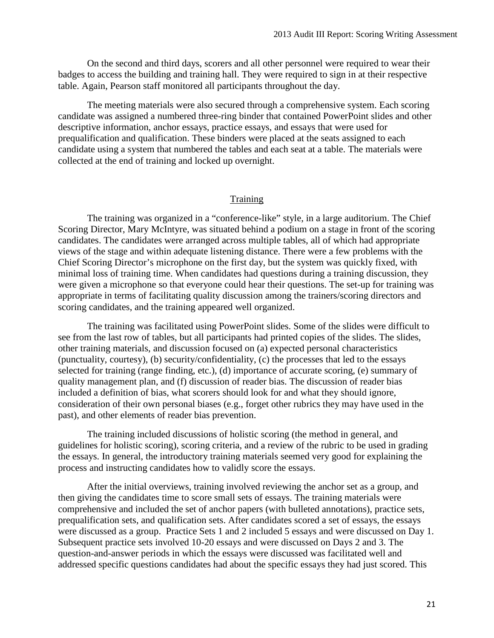On the second and third days, scorers and all other personnel were required to wear their badges to access the building and training hall. They were required to sign in at their respective table. Again, Pearson staff monitored all participants throughout the day.

The meeting materials were also secured through a comprehensive system. Each scoring candidate was assigned a numbered three-ring binder that contained PowerPoint slides and other descriptive information, anchor essays, practice essays, and essays that were used for prequalification and qualification. These binders were placed at the seats assigned to each candidate using a system that numbered the tables and each seat at a table. The materials were collected at the end of training and locked up overnight.

## **Training**

The training was organized in a "conference-like" style, in a large auditorium. The Chief Scoring Director, Mary McIntyre, was situated behind a podium on a stage in front of the scoring candidates. The candidates were arranged across multiple tables, all of which had appropriate views of the stage and within adequate listening distance. There were a few problems with the Chief Scoring Director's microphone on the first day, but the system was quickly fixed, with minimal loss of training time. When candidates had questions during a training discussion, they were given a microphone so that everyone could hear their questions. The set-up for training was appropriate in terms of facilitating quality discussion among the trainers/scoring directors and scoring candidates, and the training appeared well organized.

The training was facilitated using PowerPoint slides. Some of the slides were difficult to see from the last row of tables, but all participants had printed copies of the slides. The slides, other training materials, and discussion focused on (a) expected personal characteristics (punctuality, courtesy), (b) security/confidentiality, (c) the processes that led to the essays selected for training (range finding, etc.), (d) importance of accurate scoring, (e) summary of quality management plan, and (f) discussion of reader bias. The discussion of reader bias included a definition of bias, what scorers should look for and what they should ignore, consideration of their own personal biases (e.g., forget other rubrics they may have used in the past), and other elements of reader bias prevention.

The training included discussions of holistic scoring (the method in general, and guidelines for holistic scoring), scoring criteria, and a review of the rubric to be used in grading the essays. In general, the introductory training materials seemed very good for explaining the process and instructing candidates how to validly score the essays.

After the initial overviews, training involved reviewing the anchor set as a group, and then giving the candidates time to score small sets of essays. The training materials were comprehensive and included the set of anchor papers (with bulleted annotations), practice sets, prequalification sets, and qualification sets. After candidates scored a set of essays, the essays were discussed as a group. Practice Sets 1 and 2 included 5 essays and were discussed on Day 1. Subsequent practice sets involved 10-20 essays and were discussed on Days 2 and 3. The question-and-answer periods in which the essays were discussed was facilitated well and addressed specific questions candidates had about the specific essays they had just scored. This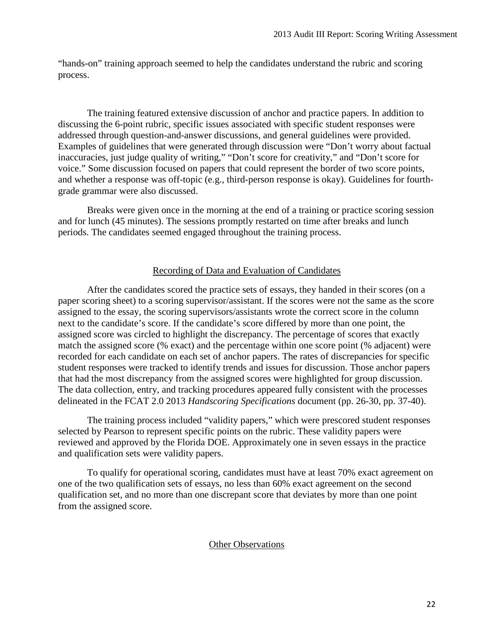"hands-on" training approach seemed to help the candidates understand the rubric and scoring process.

The training featured extensive discussion of anchor and practice papers. In addition to discussing the 6-point rubric, specific issues associated with specific student responses were addressed through question-and-answer discussions, and general guidelines were provided. Examples of guidelines that were generated through discussion were "Don't worry about factual inaccuracies, just judge quality of writing," "Don't score for creativity," and "Don't score for voice." Some discussion focused on papers that could represent the border of two score points, and whether a response was off-topic (e.g., third-person response is okay). Guidelines for fourthgrade grammar were also discussed.

Breaks were given once in the morning at the end of a training or practice scoring session and for lunch (45 minutes). The sessions promptly restarted on time after breaks and lunch periods. The candidates seemed engaged throughout the training process.

## Recording of Data and Evaluation of Candidates

After the candidates scored the practice sets of essays, they handed in their scores (on a paper scoring sheet) to a scoring supervisor/assistant. If the scores were not the same as the score assigned to the essay, the scoring supervisors/assistants wrote the correct score in the column next to the candidate's score. If the candidate's score differed by more than one point, the assigned score was circled to highlight the discrepancy. The percentage of scores that exactly match the assigned score (% exact) and the percentage within one score point (% adjacent) were recorded for each candidate on each set of anchor papers. The rates of discrepancies for specific student responses were tracked to identify trends and issues for discussion. Those anchor papers that had the most discrepancy from the assigned scores were highlighted for group discussion. The data collection, entry, and tracking procedures appeared fully consistent with the processes delineated in the FCAT 2.0 2013 *Handscoring Specifications* document (pp. 26-30, pp. 37-40).

The training process included "validity papers," which were prescored student responses selected by Pearson to represent specific points on the rubric. These validity papers were reviewed and approved by the Florida DOE. Approximately one in seven essays in the practice and qualification sets were validity papers.

To qualify for operational scoring, candidates must have at least 70% exact agreement on one of the two qualification sets of essays, no less than 60% exact agreement on the second qualification set, and no more than one discrepant score that deviates by more than one point from the assigned score.

## Other Observations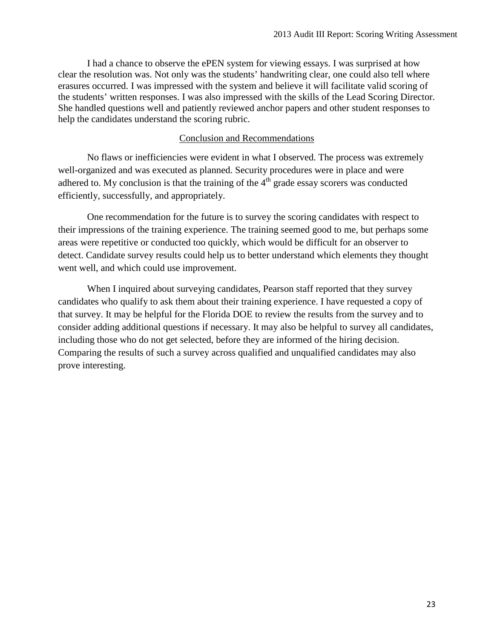I had a chance to observe the ePEN system for viewing essays. I was surprised at how clear the resolution was. Not only was the students' handwriting clear, one could also tell where erasures occurred. I was impressed with the system and believe it will facilitate valid scoring of the students' written responses. I was also impressed with the skills of the Lead Scoring Director. She handled questions well and patiently reviewed anchor papers and other student responses to help the candidates understand the scoring rubric.

## Conclusion and Recommendations

No flaws or inefficiencies were evident in what I observed. The process was extremely well-organized and was executed as planned. Security procedures were in place and were adhered to. My conclusion is that the training of the  $4<sup>th</sup>$  grade essay scorers was conducted efficiently, successfully, and appropriately.

One recommendation for the future is to survey the scoring candidates with respect to their impressions of the training experience. The training seemed good to me, but perhaps some areas were repetitive or conducted too quickly, which would be difficult for an observer to detect. Candidate survey results could help us to better understand which elements they thought went well, and which could use improvement.

When I inquired about surveying candidates, Pearson staff reported that they survey candidates who qualify to ask them about their training experience. I have requested a copy of that survey. It may be helpful for the Florida DOE to review the results from the survey and to consider adding additional questions if necessary. It may also be helpful to survey all candidates, including those who do not get selected, before they are informed of the hiring decision. Comparing the results of such a survey across qualified and unqualified candidates may also prove interesting.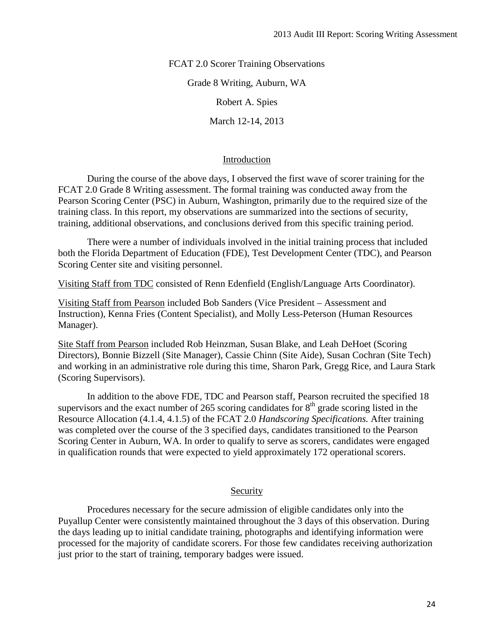FCAT 2.0 Scorer Training Observations

Grade 8 Writing, Auburn, WA

Robert A. Spies

March 12-14, 2013

## Introduction

During the course of the above days, I observed the first wave of scorer training for the FCAT 2.0 Grade 8 Writing assessment. The formal training was conducted away from the Pearson Scoring Center (PSC) in Auburn, Washington, primarily due to the required size of the training class. In this report, my observations are summarized into the sections of security, training, additional observations, and conclusions derived from this specific training period.

There were a number of individuals involved in the initial training process that included both the Florida Department of Education (FDE), Test Development Center (TDC), and Pearson Scoring Center site and visiting personnel.

Visiting Staff from TDC consisted of Renn Edenfield (English/Language Arts Coordinator).

Visiting Staff from Pearson included Bob Sanders (Vice President – Assessment and Instruction), Kenna Fries (Content Specialist), and Molly Less-Peterson (Human Resources Manager).

Site Staff from Pearson included Rob Heinzman, Susan Blake, and Leah DeHoet (Scoring Directors), Bonnie Bizzell (Site Manager), Cassie Chinn (Site Aide), Susan Cochran (Site Tech) and working in an administrative role during this time, Sharon Park, Gregg Rice, and Laura Stark (Scoring Supervisors).

In addition to the above FDE, TDC and Pearson staff, Pearson recruited the specified 18 supervisors and the exact number of 265 scoring candidates for  $8<sup>th</sup>$  grade scoring listed in the Resource Allocation (4.1.4, 4.1.5) of the FCAT 2.0 *Handscoring Specifications.* After training was completed over the course of the 3 specified days, candidates transitioned to the Pearson Scoring Center in Auburn, WA. In order to qualify to serve as scorers, candidates were engaged in qualification rounds that were expected to yield approximately 172 operational scorers.

## Security

Procedures necessary for the secure admission of eligible candidates only into the Puyallup Center were consistently maintained throughout the 3 days of this observation. During the days leading up to initial candidate training, photographs and identifying information were processed for the majority of candidate scorers. For those few candidates receiving authorization just prior to the start of training, temporary badges were issued.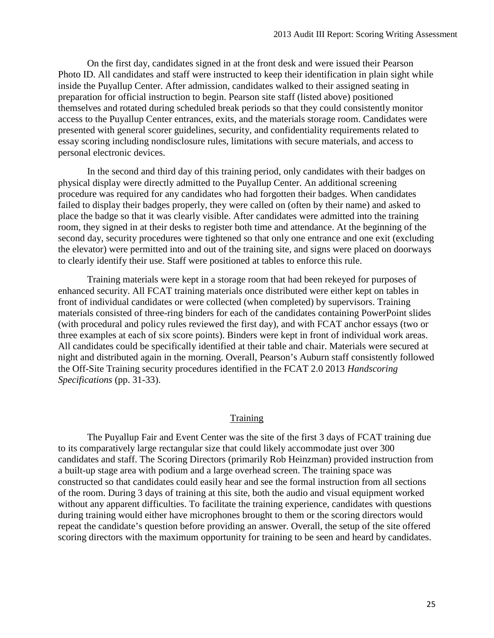On the first day, candidates signed in at the front desk and were issued their Pearson Photo ID. All candidates and staff were instructed to keep their identification in plain sight while inside the Puyallup Center. After admission, candidates walked to their assigned seating in preparation for official instruction to begin. Pearson site staff (listed above) positioned themselves and rotated during scheduled break periods so that they could consistently monitor access to the Puyallup Center entrances, exits, and the materials storage room. Candidates were presented with general scorer guidelines, security, and confidentiality requirements related to essay scoring including nondisclosure rules, limitations with secure materials, and access to personal electronic devices.

In the second and third day of this training period, only candidates with their badges on physical display were directly admitted to the Puyallup Center. An additional screening procedure was required for any candidates who had forgotten their badges. When candidates failed to display their badges properly, they were called on (often by their name) and asked to place the badge so that it was clearly visible. After candidates were admitted into the training room, they signed in at their desks to register both time and attendance. At the beginning of the second day, security procedures were tightened so that only one entrance and one exit (excluding the elevator) were permitted into and out of the training site, and signs were placed on doorways to clearly identify their use. Staff were positioned at tables to enforce this rule.

Training materials were kept in a storage room that had been rekeyed for purposes of enhanced security. All FCAT training materials once distributed were either kept on tables in front of individual candidates or were collected (when completed) by supervisors. Training materials consisted of three-ring binders for each of the candidates containing PowerPoint slides (with procedural and policy rules reviewed the first day), and with FCAT anchor essays (two or three examples at each of six score points). Binders were kept in front of individual work areas. All candidates could be specifically identified at their table and chair. Materials were secured at night and distributed again in the morning. Overall, Pearson's Auburn staff consistently followed the Off-Site Training security procedures identified in the FCAT 2.0 2013 *Handscoring Specifications* (pp. 31-33).

## **Training**

The Puyallup Fair and Event Center was the site of the first 3 days of FCAT training due to its comparatively large rectangular size that could likely accommodate just over 300 candidates and staff. The Scoring Directors (primarily Rob Heinzman) provided instruction from a built-up stage area with podium and a large overhead screen. The training space was constructed so that candidates could easily hear and see the formal instruction from all sections of the room. During 3 days of training at this site, both the audio and visual equipment worked without any apparent difficulties. To facilitate the training experience, candidates with questions during training would either have microphones brought to them or the scoring directors would repeat the candidate's question before providing an answer. Overall, the setup of the site offered scoring directors with the maximum opportunity for training to be seen and heard by candidates.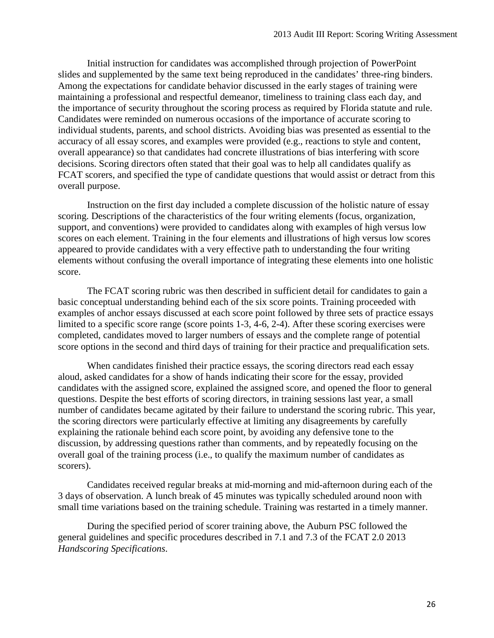Initial instruction for candidates was accomplished through projection of PowerPoint slides and supplemented by the same text being reproduced in the candidates' three-ring binders. Among the expectations for candidate behavior discussed in the early stages of training were maintaining a professional and respectful demeanor, timeliness to training class each day, and the importance of security throughout the scoring process as required by Florida statute and rule. Candidates were reminded on numerous occasions of the importance of accurate scoring to individual students, parents, and school districts. Avoiding bias was presented as essential to the accuracy of all essay scores, and examples were provided (e.g., reactions to style and content, overall appearance) so that candidates had concrete illustrations of bias interfering with score decisions. Scoring directors often stated that their goal was to help all candidates qualify as FCAT scorers, and specified the type of candidate questions that would assist or detract from this overall purpose.

Instruction on the first day included a complete discussion of the holistic nature of essay scoring. Descriptions of the characteristics of the four writing elements (focus, organization, support, and conventions) were provided to candidates along with examples of high versus low scores on each element. Training in the four elements and illustrations of high versus low scores appeared to provide candidates with a very effective path to understanding the four writing elements without confusing the overall importance of integrating these elements into one holistic score.

The FCAT scoring rubric was then described in sufficient detail for candidates to gain a basic conceptual understanding behind each of the six score points. Training proceeded with examples of anchor essays discussed at each score point followed by three sets of practice essays limited to a specific score range (score points 1-3, 4-6, 2-4). After these scoring exercises were completed, candidates moved to larger numbers of essays and the complete range of potential score options in the second and third days of training for their practice and prequalification sets.

When candidates finished their practice essays, the scoring directors read each essay aloud, asked candidates for a show of hands indicating their score for the essay, provided candidates with the assigned score, explained the assigned score, and opened the floor to general questions. Despite the best efforts of scoring directors, in training sessions last year, a small number of candidates became agitated by their failure to understand the scoring rubric. This year, the scoring directors were particularly effective at limiting any disagreements by carefully explaining the rationale behind each score point, by avoiding any defensive tone to the discussion, by addressing questions rather than comments, and by repeatedly focusing on the overall goal of the training process (i.e., to qualify the maximum number of candidates as scorers).

Candidates received regular breaks at mid-morning and mid-afternoon during each of the 3 days of observation. A lunch break of 45 minutes was typically scheduled around noon with small time variations based on the training schedule. Training was restarted in a timely manner.

During the specified period of scorer training above, the Auburn PSC followed the general guidelines and specific procedures described in 7.1 and 7.3 of the FCAT 2.0 2013 *Handscoring Specifications*.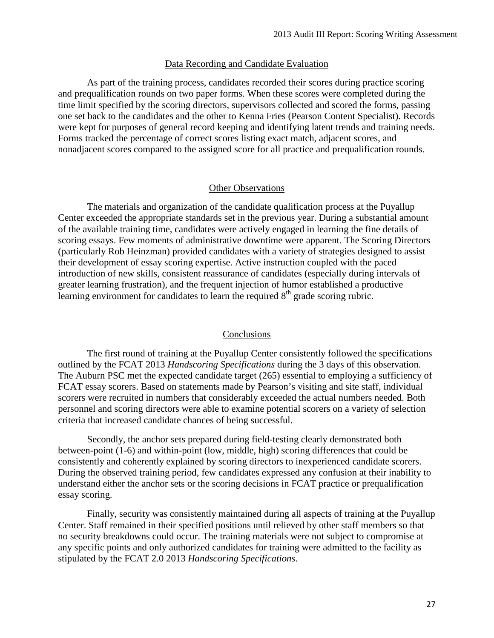#### Data Recording and Candidate Evaluation

As part of the training process, candidates recorded their scores during practice scoring and prequalification rounds on two paper forms. When these scores were completed during the time limit specified by the scoring directors, supervisors collected and scored the forms, passing one set back to the candidates and the other to Kenna Fries (Pearson Content Specialist). Records were kept for purposes of general record keeping and identifying latent trends and training needs. Forms tracked the percentage of correct scores listing exact match, adjacent scores, and nonadjacent scores compared to the assigned score for all practice and prequalification rounds.

#### Other Observations

The materials and organization of the candidate qualification process at the Puyallup Center exceeded the appropriate standards set in the previous year. During a substantial amount of the available training time, candidates were actively engaged in learning the fine details of scoring essays. Few moments of administrative downtime were apparent. The Scoring Directors (particularly Rob Heinzman) provided candidates with a variety of strategies designed to assist their development of essay scoring expertise. Active instruction coupled with the paced introduction of new skills, consistent reassurance of candidates (especially during intervals of greater learning frustration), and the frequent injection of humor established a productive learning environment for candidates to learn the required  $8<sup>th</sup>$  grade scoring rubric.

#### Conclusions

The first round of training at the Puyallup Center consistently followed the specifications outlined by the FCAT 2013 *Handscoring Specifications* during the 3 days of this observation. The Auburn PSC met the expected candidate target (265) essential to employing a sufficiency of FCAT essay scorers. Based on statements made by Pearson's visiting and site staff, individual scorers were recruited in numbers that considerably exceeded the actual numbers needed. Both personnel and scoring directors were able to examine potential scorers on a variety of selection criteria that increased candidate chances of being successful.

Secondly, the anchor sets prepared during field-testing clearly demonstrated both between-point (1-6) and within-point (low, middle, high) scoring differences that could be consistently and coherently explained by scoring directors to inexperienced candidate scorers. During the observed training period, few candidates expressed any confusion at their inability to understand either the anchor sets or the scoring decisions in FCAT practice or prequalification essay scoring.

Finally, security was consistently maintained during all aspects of training at the Puyallup Center. Staff remained in their specified positions until relieved by other staff members so that no security breakdowns could occur. The training materials were not subject to compromise at any specific points and only authorized candidates for training were admitted to the facility as stipulated by the FCAT 2.0 2013 *Handscoring Specifications*.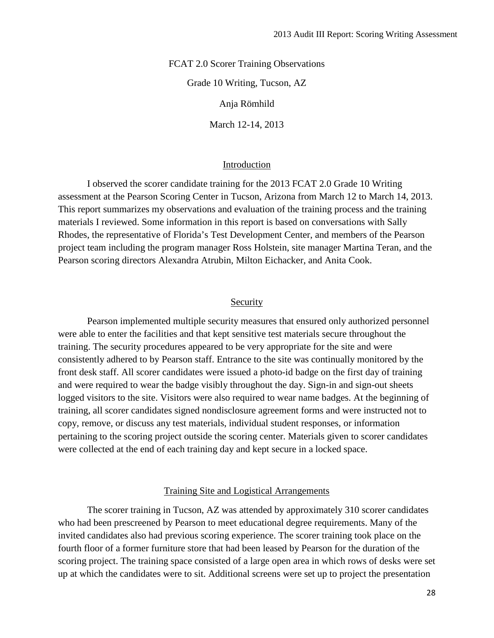FCAT 2.0 Scorer Training Observations Grade 10 Writing, Tucson, AZ Anja Römhild March 12-14, 2013

#### Introduction

I observed the scorer candidate training for the 2013 FCAT 2.0 Grade 10 Writing assessment at the Pearson Scoring Center in Tucson, Arizona from March 12 to March 14, 2013. This report summarizes my observations and evaluation of the training process and the training materials I reviewed. Some information in this report is based on conversations with Sally Rhodes, the representative of Florida's Test Development Center, and members of the Pearson project team including the program manager Ross Holstein, site manager Martina Teran, and the Pearson scoring directors Alexandra Atrubin, Milton Eichacker, and Anita Cook.

## Security

Pearson implemented multiple security measures that ensured only authorized personnel were able to enter the facilities and that kept sensitive test materials secure throughout the training. The security procedures appeared to be very appropriate for the site and were consistently adhered to by Pearson staff. Entrance to the site was continually monitored by the front desk staff. All scorer candidates were issued a photo-id badge on the first day of training and were required to wear the badge visibly throughout the day. Sign-in and sign-out sheets logged visitors to the site. Visitors were also required to wear name badges. At the beginning of training, all scorer candidates signed nondisclosure agreement forms and were instructed not to copy, remove, or discuss any test materials, individual student responses, or information pertaining to the scoring project outside the scoring center. Materials given to scorer candidates were collected at the end of each training day and kept secure in a locked space.

Training Site and Logistical Arrangements

The scorer training in Tucson, AZ was attended by approximately 310 scorer candidates who had been prescreened by Pearson to meet educational degree requirements. Many of the invited candidates also had previous scoring experience. The scorer training took place on the fourth floor of a former furniture store that had been leased by Pearson for the duration of the scoring project. The training space consisted of a large open area in which rows of desks were set up at which the candidates were to sit. Additional screens were set up to project the presentation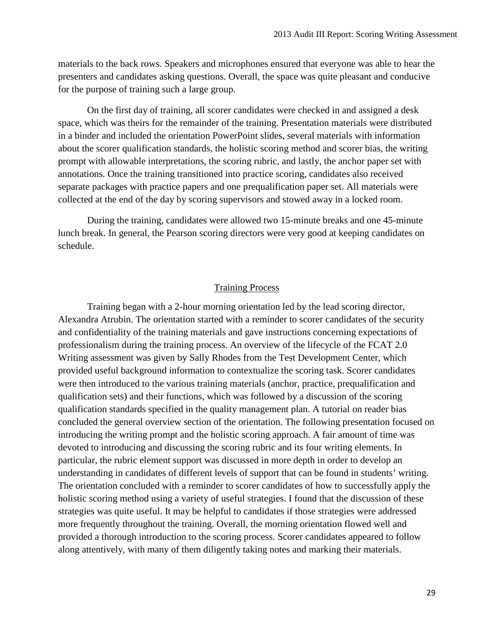materials to the back rows. Speakers and microphones ensured that everyone was able to hear the presenters and candidates asking questions. Overall, the space was quite pleasant and conducive for the purpose of training such a large group.

On the first day of training, all scorer candidates were checked in and assigned a desk space, which was theirs for the remainder of the training. Presentation materials were distributed in a binder and included the orientation PowerPoint slides, several materials with information about the scorer qualification standards, the holistic scoring method and scorer bias, the writing prompt with allowable interpretations, the scoring rubric, and lastly, the anchor paper set with annotations. Once the training transitioned into practice scoring, candidates also received separate packages with practice papers and one prequalification paper set. All materials were collected at the end of the day by scoring supervisors and stowed away in a locked room.

During the training, candidates were allowed two 15-minute breaks and one 45-minute lunch break. In general, the Pearson scoring directors were very good at keeping candidates on schedule.

## Training Process

Training began with a 2-hour morning orientation led by the lead scoring director, Alexandra Atrubin. The orientation started with a reminder to scorer candidates of the security and confidentiality of the training materials and gave instructions concerning expectations of professionalism during the training process. An overview of the lifecycle of the FCAT 2.0 Writing assessment was given by Sally Rhodes from the Test Development Center, which provided useful background information to contextualize the scoring task. Scorer candidates were then introduced to the various training materials (anchor, practice, prequalification and qualification sets) and their functions, which was followed by a discussion of the scoring qualification standards specified in the quality management plan. A tutorial on reader bias concluded the general overview section of the orientation. The following presentation focused on introducing the writing prompt and the holistic scoring approach. A fair amount of time was devoted to introducing and discussing the scoring rubric and its four writing elements. In particular, the rubric element support was discussed in more depth in order to develop an understanding in candidates of different levels of support that can be found in students' writing. The orientation concluded with a reminder to scorer candidates of how to successfully apply the holistic scoring method using a variety of useful strategies. I found that the discussion of these strategies was quite useful. It may be helpful to candidates if those strategies were addressed more frequently throughout the training. Overall, the morning orientation flowed well and provided a thorough introduction to the scoring process. Scorer candidates appeared to follow along attentively, with many of them diligently taking notes and marking their materials.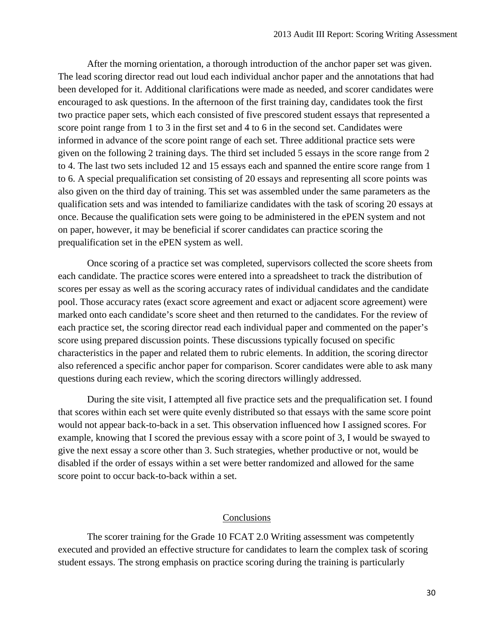After the morning orientation, a thorough introduction of the anchor paper set was given. The lead scoring director read out loud each individual anchor paper and the annotations that had been developed for it. Additional clarifications were made as needed, and scorer candidates were encouraged to ask questions. In the afternoon of the first training day, candidates took the first two practice paper sets, which each consisted of five prescored student essays that represented a score point range from 1 to 3 in the first set and 4 to 6 in the second set. Candidates were informed in advance of the score point range of each set. Three additional practice sets were given on the following 2 training days. The third set included 5 essays in the score range from 2 to 4. The last two sets included 12 and 15 essays each and spanned the entire score range from 1 to 6. A special prequalification set consisting of 20 essays and representing all score points was also given on the third day of training. This set was assembled under the same parameters as the qualification sets and was intended to familiarize candidates with the task of scoring 20 essays at once. Because the qualification sets were going to be administered in the ePEN system and not on paper, however, it may be beneficial if scorer candidates can practice scoring the prequalification set in the ePEN system as well.

Once scoring of a practice set was completed, supervisors collected the score sheets from each candidate. The practice scores were entered into a spreadsheet to track the distribution of scores per essay as well as the scoring accuracy rates of individual candidates and the candidate pool. Those accuracy rates (exact score agreement and exact or adjacent score agreement) were marked onto each candidate's score sheet and then returned to the candidates. For the review of each practice set, the scoring director read each individual paper and commented on the paper's score using prepared discussion points. These discussions typically focused on specific characteristics in the paper and related them to rubric elements. In addition, the scoring director also referenced a specific anchor paper for comparison. Scorer candidates were able to ask many questions during each review, which the scoring directors willingly addressed.

During the site visit, I attempted all five practice sets and the prequalification set. I found that scores within each set were quite evenly distributed so that essays with the same score point would not appear back-to-back in a set. This observation influenced how I assigned scores. For example, knowing that I scored the previous essay with a score point of 3, I would be swayed to give the next essay a score other than 3. Such strategies, whether productive or not, would be disabled if the order of essays within a set were better randomized and allowed for the same score point to occur back-to-back within a set.

## Conclusions

The scorer training for the Grade 10 FCAT 2.0 Writing assessment was competently executed and provided an effective structure for candidates to learn the complex task of scoring student essays. The strong emphasis on practice scoring during the training is particularly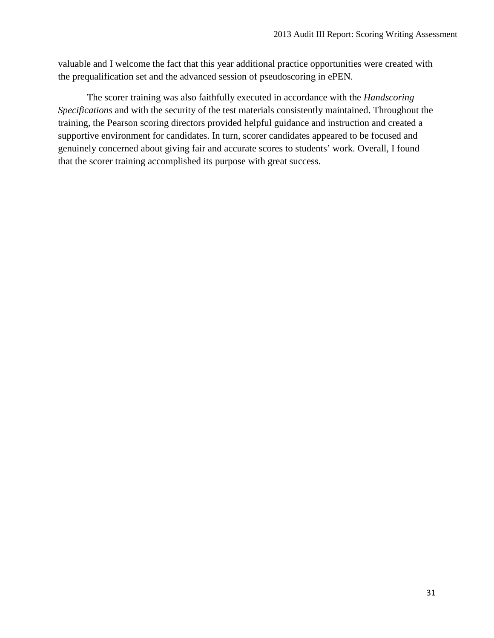valuable and I welcome the fact that this year additional practice opportunities were created with the prequalification set and the advanced session of pseudoscoring in ePEN.

The scorer training was also faithfully executed in accordance with the *Handscoring Specifications* and with the security of the test materials consistently maintained. Throughout the training, the Pearson scoring directors provided helpful guidance and instruction and created a supportive environment for candidates. In turn, scorer candidates appeared to be focused and genuinely concerned about giving fair and accurate scores to students' work. Overall, I found that the scorer training accomplished its purpose with great success.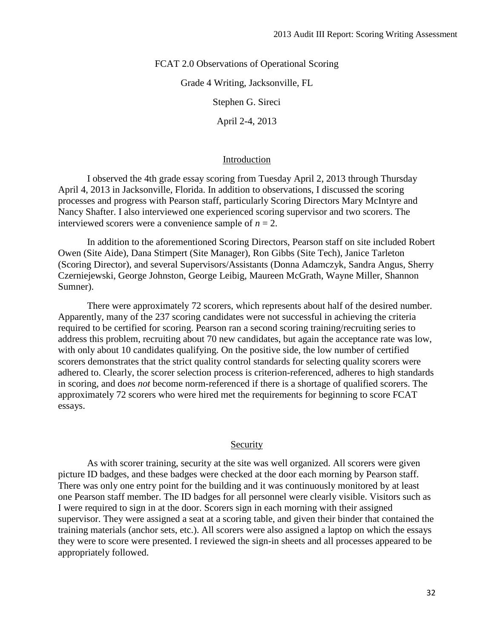FCAT 2.0 Observations of Operational Scoring

Grade 4 Writing, Jacksonville, FL

Stephen G. Sireci

April 2-4, 2013

#### Introduction

I observed the 4th grade essay scoring from Tuesday April 2, 2013 through Thursday April 4, 2013 in Jacksonville, Florida. In addition to observations, I discussed the scoring processes and progress with Pearson staff, particularly Scoring Directors Mary McIntyre and Nancy Shafter. I also interviewed one experienced scoring supervisor and two scorers. The interviewed scorers were a convenience sample of  $n = 2$ .

In addition to the aforementioned Scoring Directors, Pearson staff on site included Robert Owen (Site Aide), Dana Stimpert (Site Manager), Ron Gibbs (Site Tech), Janice Tarleton (Scoring Director), and several Supervisors/Assistants (Donna Adamczyk, Sandra Angus, Sherry Czerniejewski, George Johnston, George Leibig, Maureen McGrath, Wayne Miller, Shannon Sumner).

There were approximately 72 scorers, which represents about half of the desired number. Apparently, many of the 237 scoring candidates were not successful in achieving the criteria required to be certified for scoring. Pearson ran a second scoring training/recruiting series to address this problem, recruiting about 70 new candidates, but again the acceptance rate was low, with only about 10 candidates qualifying. On the positive side, the low number of certified scorers demonstrates that the strict quality control standards for selecting quality scorers were adhered to. Clearly, the scorer selection process is criterion-referenced, adheres to high standards in scoring, and does *not* become norm-referenced if there is a shortage of qualified scorers. The approximately 72 scorers who were hired met the requirements for beginning to score FCAT essays.

### Security

As with scorer training, security at the site was well organized. All scorers were given picture ID badges, and these badges were checked at the door each morning by Pearson staff. There was only one entry point for the building and it was continuously monitored by at least one Pearson staff member. The ID badges for all personnel were clearly visible. Visitors such as I were required to sign in at the door. Scorers sign in each morning with their assigned supervisor. They were assigned a seat at a scoring table, and given their binder that contained the training materials (anchor sets, etc.). All scorers were also assigned a laptop on which the essays they were to score were presented. I reviewed the sign-in sheets and all processes appeared to be appropriately followed.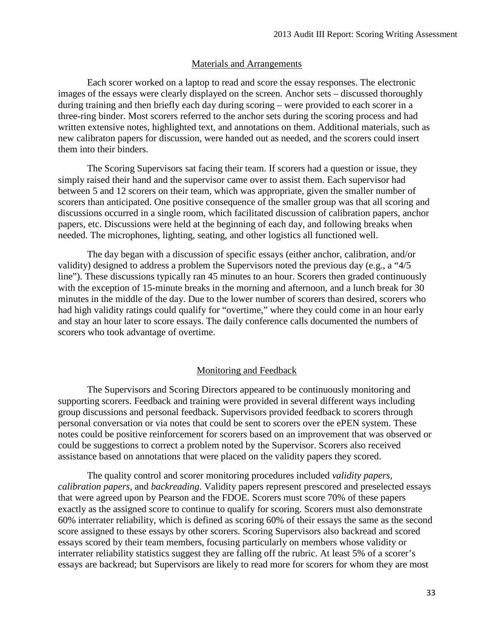#### Materials and Arrangements

Each scorer worked on a laptop to read and score the essay responses. The electronic images of the essays were clearly displayed on the screen. Anchor sets – discussed thoroughly during training and then briefly each day during scoring – were provided to each scorer in a three-ring binder. Most scorers referred to the anchor sets during the scoring process and had written extensive notes, highlighted text, and annotations on them. Additional materials, such as new calibraton papers for discussion, were handed out as needed, and the scorers could insert them into their binders.

The Scoring Supervisors sat facing their team. If scorers had a question or issue, they simply raised their hand and the supervisor came over to assist them. Each supervisor had between 5 and 12 scorers on their team, which was appropriate, given the smaller number of scorers than anticipated. One positive consequence of the smaller group was that all scoring and discussions occurred in a single room, which facilitated discussion of calibration papers, anchor papers, etc. Discussions were held at the beginning of each day, and following breaks when needed. The microphones, lighting, seating, and other logistics all functioned well.

The day began with a discussion of specific essays (either anchor, calibration, and/or validity) designed to address a problem the Supervisors noted the previous day (e.g., a "4/5 line"). These discussions typically ran 45 minutes to an hour. Scorers then graded continuously with the exception of 15-minute breaks in the morning and afternoon, and a lunch break for 30 minutes in the middle of the day. Due to the lower number of scorers than desired, scorers who had high validity ratings could qualify for "overtime," where they could come in an hour early and stay an hour later to score essays. The daily conference calls documented the numbers of scorers who took advantage of overtime.

#### Monitoring and Feedback

The Supervisors and Scoring Directors appeared to be continuously monitoring and supporting scorers. Feedback and training were provided in several different ways including group discussions and personal feedback. Supervisors provided feedback to scorers through personal conversation or via notes that could be sent to scorers over the ePEN system. These notes could be positive reinforcement for scorers based on an improvement that was observed or could be suggestions to correct a problem noted by the Supervisor. Scorers also received assistance based on annotations that were placed on the validity papers they scored.

The quality control and scorer monitoring procedures included *validity papers, calibration papers*, and *backreading*. Validity papers represent prescored and preselected essays that were agreed upon by Pearson and the FDOE. Scorers must score 70% of these papers exactly as the assigned score to continue to qualify for scoring. Scorers must also demonstrate 60% interrater reliability, which is defined as scoring 60% of their essays the same as the second score assigned to these essays by other scorers. Scoring Supervisors also backread and scored essays scored by their team members, focusing particularly on members whose validity or interrater reliability statistics suggest they are falling off the rubric. At least 5% of a scorer's essays are backread; but Supervisors are likely to read more for scorers for whom they are most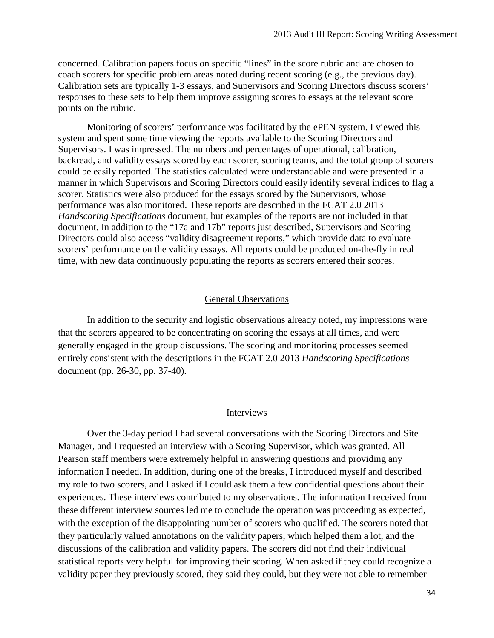concerned. Calibration papers focus on specific "lines" in the score rubric and are chosen to coach scorers for specific problem areas noted during recent scoring (e.g., the previous day). Calibration sets are typically 1-3 essays, and Supervisors and Scoring Directors discuss scorers' responses to these sets to help them improve assigning scores to essays at the relevant score points on the rubric.

Monitoring of scorers' performance was facilitated by the ePEN system. I viewed this system and spent some time viewing the reports available to the Scoring Directors and Supervisors. I was impressed. The numbers and percentages of operational, calibration, backread, and validity essays scored by each scorer, scoring teams, and the total group of scorers could be easily reported. The statistics calculated were understandable and were presented in a manner in which Supervisors and Scoring Directors could easily identify several indices to flag a scorer. Statistics were also produced for the essays scored by the Supervisors, whose performance was also monitored. These reports are described in the FCAT 2.0 2013 *Handscoring Specifications* document, but examples of the reports are not included in that document. In addition to the "17a and 17b" reports just described, Supervisors and Scoring Directors could also access "validity disagreement reports," which provide data to evaluate scorers' performance on the validity essays. All reports could be produced on-the-fly in real time, with new data continuously populating the reports as scorers entered their scores.

## General Observations

In addition to the security and logistic observations already noted, my impressions were that the scorers appeared to be concentrating on scoring the essays at all times, and were generally engaged in the group discussions. The scoring and monitoring processes seemed entirely consistent with the descriptions in the FCAT 2.0 2013 *Handscoring Specifications* document (pp. 26-30, pp. 37-40).

#### Interviews

Over the 3-day period I had several conversations with the Scoring Directors and Site Manager, and I requested an interview with a Scoring Supervisor, which was granted. All Pearson staff members were extremely helpful in answering questions and providing any information I needed. In addition, during one of the breaks, I introduced myself and described my role to two scorers, and I asked if I could ask them a few confidential questions about their experiences. These interviews contributed to my observations. The information I received from these different interview sources led me to conclude the operation was proceeding as expected, with the exception of the disappointing number of scorers who qualified. The scorers noted that they particularly valued annotations on the validity papers, which helped them a lot, and the discussions of the calibration and validity papers. The scorers did not find their individual statistical reports very helpful for improving their scoring. When asked if they could recognize a validity paper they previously scored, they said they could, but they were not able to remember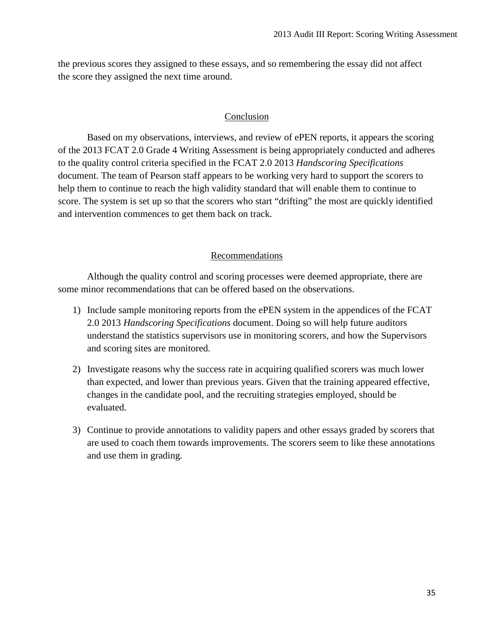the previous scores they assigned to these essays, and so remembering the essay did not affect the score they assigned the next time around.

## Conclusion

Based on my observations, interviews, and review of ePEN reports, it appears the scoring of the 2013 FCAT 2.0 Grade 4 Writing Assessment is being appropriately conducted and adheres to the quality control criteria specified in the FCAT 2.0 2013 *Handscoring Specifications* document. The team of Pearson staff appears to be working very hard to support the scorers to help them to continue to reach the high validity standard that will enable them to continue to score. The system is set up so that the scorers who start "drifting" the most are quickly identified and intervention commences to get them back on track.

## Recommendations

Although the quality control and scoring processes were deemed appropriate, there are some minor recommendations that can be offered based on the observations.

- 1) Include sample monitoring reports from the ePEN system in the appendices of the FCAT 2.0 2013 *Handscoring Specifications* document. Doing so will help future auditors understand the statistics supervisors use in monitoring scorers, and how the Supervisors and scoring sites are monitored.
- 2) Investigate reasons why the success rate in acquiring qualified scorers was much lower than expected, and lower than previous years. Given that the training appeared effective, changes in the candidate pool, and the recruiting strategies employed, should be evaluated.
- 3) Continue to provide annotations to validity papers and other essays graded by scorers that are used to coach them towards improvements. The scorers seem to like these annotations and use them in grading.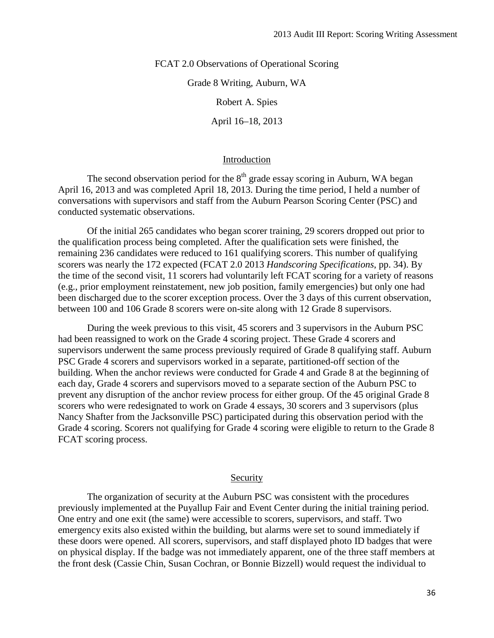FCAT 2.0 Observations of Operational Scoring

Grade 8 Writing, Auburn, WA

Robert A. Spies

April 16–18, 2013

#### Introduction

The second observation period for the  $8<sup>th</sup>$  grade essay scoring in Auburn, WA began April 16, 2013 and was completed April 18, 2013. During the time period, I held a number of conversations with supervisors and staff from the Auburn Pearson Scoring Center (PSC) and conducted systematic observations.

Of the initial 265 candidates who began scorer training, 29 scorers dropped out prior to the qualification process being completed. After the qualification sets were finished, the remaining 236 candidates were reduced to 161 qualifying scorers. This number of qualifying scorers was nearly the 172 expected (FCAT 2.0 2013 *Handscoring Specifications*, pp. 34). By the time of the second visit, 11 scorers had voluntarily left FCAT scoring for a variety of reasons (e.g., prior employment reinstatement, new job position, family emergencies) but only one had been discharged due to the scorer exception process. Over the 3 days of this current observation, between 100 and 106 Grade 8 scorers were on-site along with 12 Grade 8 supervisors.

During the week previous to this visit, 45 scorers and 3 supervisors in the Auburn PSC had been reassigned to work on the Grade 4 scoring project. These Grade 4 scorers and supervisors underwent the same process previously required of Grade 8 qualifying staff. Auburn PSC Grade 4 scorers and supervisors worked in a separate, partitioned-off section of the building. When the anchor reviews were conducted for Grade 4 and Grade 8 at the beginning of each day, Grade 4 scorers and supervisors moved to a separate section of the Auburn PSC to prevent any disruption of the anchor review process for either group. Of the 45 original Grade 8 scorers who were redesignated to work on Grade 4 essays, 30 scorers and 3 supervisors (plus Nancy Shafter from the Jacksonville PSC) participated during this observation period with the Grade 4 scoring. Scorers not qualifying for Grade 4 scoring were eligible to return to the Grade 8 FCAT scoring process.

## **Security**

The organization of security at the Auburn PSC was consistent with the procedures previously implemented at the Puyallup Fair and Event Center during the initial training period. One entry and one exit (the same) were accessible to scorers, supervisors, and staff. Two emergency exits also existed within the building, but alarms were set to sound immediately if these doors were opened. All scorers, supervisors, and staff displayed photo ID badges that were on physical display. If the badge was not immediately apparent, one of the three staff members at the front desk (Cassie Chin, Susan Cochran, or Bonnie Bizzell) would request the individual to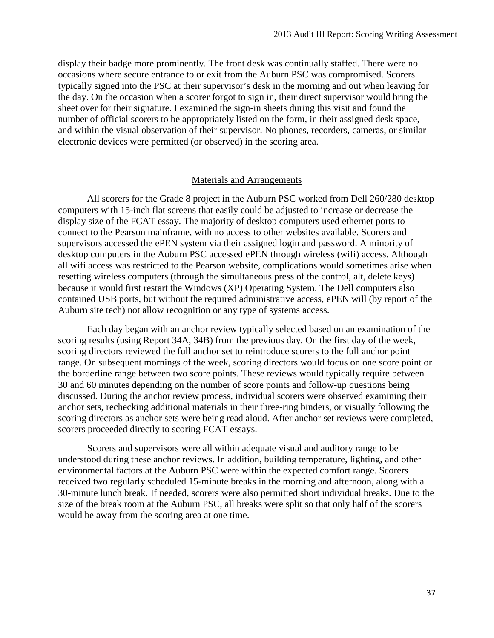display their badge more prominently. The front desk was continually staffed. There were no occasions where secure entrance to or exit from the Auburn PSC was compromised. Scorers typically signed into the PSC at their supervisor's desk in the morning and out when leaving for the day. On the occasion when a scorer forgot to sign in, their direct supervisor would bring the sheet over for their signature. I examined the sign-in sheets during this visit and found the number of official scorers to be appropriately listed on the form, in their assigned desk space, and within the visual observation of their supervisor. No phones, recorders, cameras, or similar electronic devices were permitted (or observed) in the scoring area.

### Materials and Arrangements

All scorers for the Grade 8 project in the Auburn PSC worked from Dell 260/280 desktop computers with 15-inch flat screens that easily could be adjusted to increase or decrease the display size of the FCAT essay. The majority of desktop computers used ethernet ports to connect to the Pearson mainframe, with no access to other websites available. Scorers and supervisors accessed the ePEN system via their assigned login and password. A minority of desktop computers in the Auburn PSC accessed ePEN through wireless (wifi) access. Although all wifi access was restricted to the Pearson website, complications would sometimes arise when resetting wireless computers (through the simultaneous press of the control, alt, delete keys) because it would first restart the Windows (XP) Operating System. The Dell computers also contained USB ports, but without the required administrative access, ePEN will (by report of the Auburn site tech) not allow recognition or any type of systems access.

Each day began with an anchor review typically selected based on an examination of the scoring results (using Report 34A, 34B) from the previous day. On the first day of the week, scoring directors reviewed the full anchor set to reintroduce scorers to the full anchor point range. On subsequent mornings of the week, scoring directors would focus on one score point or the borderline range between two score points. These reviews would typically require between 30 and 60 minutes depending on the number of score points and follow-up questions being discussed. During the anchor review process, individual scorers were observed examining their anchor sets, rechecking additional materials in their three-ring binders, or visually following the scoring directors as anchor sets were being read aloud. After anchor set reviews were completed, scorers proceeded directly to scoring FCAT essays.

Scorers and supervisors were all within adequate visual and auditory range to be understood during these anchor reviews. In addition, building temperature, lighting, and other environmental factors at the Auburn PSC were within the expected comfort range. Scorers received two regularly scheduled 15-minute breaks in the morning and afternoon, along with a 30-minute lunch break. If needed, scorers were also permitted short individual breaks. Due to the size of the break room at the Auburn PSC, all breaks were split so that only half of the scorers would be away from the scoring area at one time.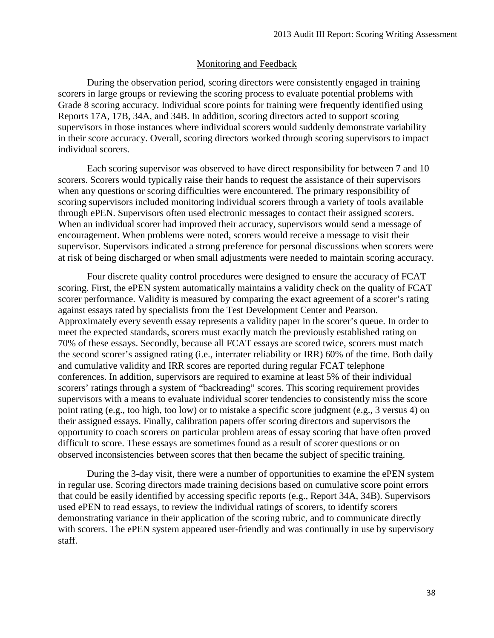## Monitoring and Feedback

During the observation period, scoring directors were consistently engaged in training scorers in large groups or reviewing the scoring process to evaluate potential problems with Grade 8 scoring accuracy. Individual score points for training were frequently identified using Reports 17A, 17B, 34A, and 34B. In addition, scoring directors acted to support scoring supervisors in those instances where individual scorers would suddenly demonstrate variability in their score accuracy. Overall, scoring directors worked through scoring supervisors to impact individual scorers.

Each scoring supervisor was observed to have direct responsibility for between 7 and 10 scorers. Scorers would typically raise their hands to request the assistance of their supervisors when any questions or scoring difficulties were encountered. The primary responsibility of scoring supervisors included monitoring individual scorers through a variety of tools available through ePEN. Supervisors often used electronic messages to contact their assigned scorers. When an individual scorer had improved their accuracy, supervisors would send a message of encouragement. When problems were noted, scorers would receive a message to visit their supervisor. Supervisors indicated a strong preference for personal discussions when scorers were at risk of being discharged or when small adjustments were needed to maintain scoring accuracy.

Four discrete quality control procedures were designed to ensure the accuracy of FCAT scoring. First, the ePEN system automatically maintains a validity check on the quality of FCAT scorer performance. Validity is measured by comparing the exact agreement of a scorer's rating against essays rated by specialists from the Test Development Center and Pearson. Approximately every seventh essay represents a validity paper in the scorer's queue. In order to meet the expected standards, scorers must exactly match the previously established rating on 70% of these essays. Secondly, because all FCAT essays are scored twice, scorers must match the second scorer's assigned rating (i.e., interrater reliability or IRR) 60% of the time. Both daily and cumulative validity and IRR scores are reported during regular FCAT telephone conferences. In addition, supervisors are required to examine at least 5% of their individual scorers' ratings through a system of "backreading" scores. This scoring requirement provides supervisors with a means to evaluate individual scorer tendencies to consistently miss the score point rating (e.g., too high, too low) or to mistake a specific score judgment (e.g., 3 versus 4) on their assigned essays. Finally, calibration papers offer scoring directors and supervisors the opportunity to coach scorers on particular problem areas of essay scoring that have often proved difficult to score. These essays are sometimes found as a result of scorer questions or on observed inconsistencies between scores that then became the subject of specific training.

During the 3-day visit, there were a number of opportunities to examine the ePEN system in regular use. Scoring directors made training decisions based on cumulative score point errors that could be easily identified by accessing specific reports (e.g., Report 34A, 34B). Supervisors used ePEN to read essays, to review the individual ratings of scorers, to identify scorers demonstrating variance in their application of the scoring rubric, and to communicate directly with scorers. The ePEN system appeared user-friendly and was continually in use by supervisory staff.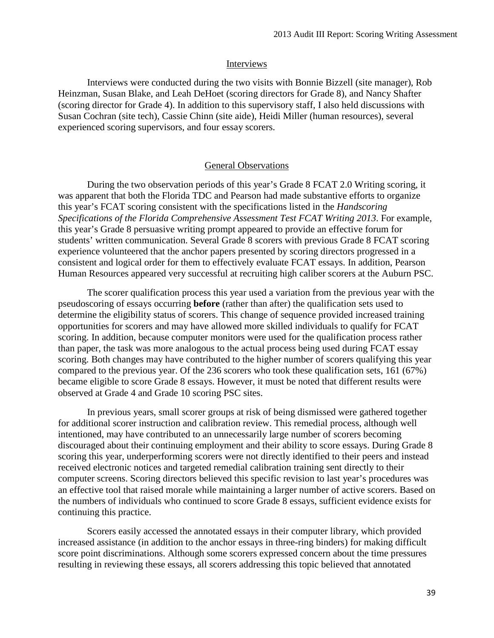## Interviews

Interviews were conducted during the two visits with Bonnie Bizzell (site manager), Rob Heinzman, Susan Blake, and Leah DeHoet (scoring directors for Grade 8), and Nancy Shafter (scoring director for Grade 4). In addition to this supervisory staff, I also held discussions with Susan Cochran (site tech), Cassie Chinn (site aide), Heidi Miller (human resources), several experienced scoring supervisors, and four essay scorers.

## General Observations

During the two observation periods of this year's Grade 8 FCAT 2.0 Writing scoring, it was apparent that both the Florida TDC and Pearson had made substantive efforts to organize this year's FCAT scoring consistent with the specifications listed in the *Handscoring Specifications of the Florida Comprehensive Assessment Test FCAT Writing 2013*. For example, this year's Grade 8 persuasive writing prompt appeared to provide an effective forum for students' written communication. Several Grade 8 scorers with previous Grade 8 FCAT scoring experience volunteered that the anchor papers presented by scoring directors progressed in a consistent and logical order for them to effectively evaluate FCAT essays. In addition, Pearson Human Resources appeared very successful at recruiting high caliber scorers at the Auburn PSC.

The scorer qualification process this year used a variation from the previous year with the pseudoscoring of essays occurring **before** (rather than after) the qualification sets used to determine the eligibility status of scorers. This change of sequence provided increased training opportunities for scorers and may have allowed more skilled individuals to qualify for FCAT scoring. In addition, because computer monitors were used for the qualification process rather than paper, the task was more analogous to the actual process being used during FCAT essay scoring. Both changes may have contributed to the higher number of scorers qualifying this year compared to the previous year. Of the 236 scorers who took these qualification sets, 161 (67%) became eligible to score Grade 8 essays. However, it must be noted that different results were observed at Grade 4 and Grade 10 scoring PSC sites.

In previous years, small scorer groups at risk of being dismissed were gathered together for additional scorer instruction and calibration review. This remedial process, although well intentioned, may have contributed to an unnecessarily large number of scorers becoming discouraged about their continuing employment and their ability to score essays. During Grade 8 scoring this year, underperforming scorers were not directly identified to their peers and instead received electronic notices and targeted remedial calibration training sent directly to their computer screens. Scoring directors believed this specific revision to last year's procedures was an effective tool that raised morale while maintaining a larger number of active scorers. Based on the numbers of individuals who continued to score Grade 8 essays, sufficient evidence exists for continuing this practice.

Scorers easily accessed the annotated essays in their computer library, which provided increased assistance (in addition to the anchor essays in three-ring binders) for making difficult score point discriminations. Although some scorers expressed concern about the time pressures resulting in reviewing these essays, all scorers addressing this topic believed that annotated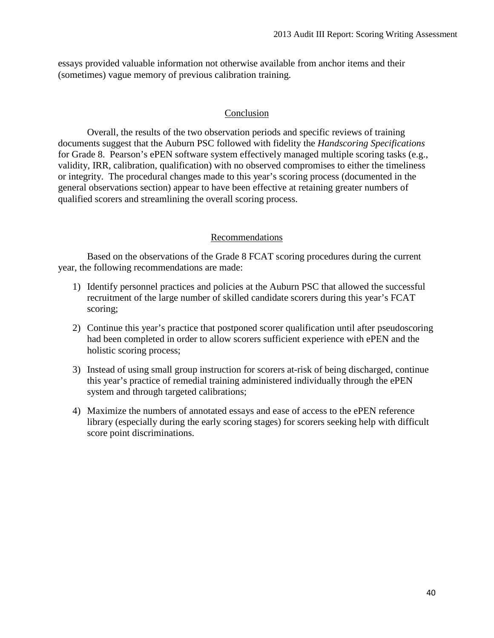essays provided valuable information not otherwise available from anchor items and their (sometimes) vague memory of previous calibration training.

## Conclusion

Overall, the results of the two observation periods and specific reviews of training documents suggest that the Auburn PSC followed with fidelity the *Handscoring Specifications*  for Grade 8. Pearson's ePEN software system effectively managed multiple scoring tasks (e.g., validity, IRR, calibration, qualification) with no observed compromises to either the timeliness or integrity. The procedural changes made to this year's scoring process (documented in the general observations section) appear to have been effective at retaining greater numbers of qualified scorers and streamlining the overall scoring process.

## Recommendations

Based on the observations of the Grade 8 FCAT scoring procedures during the current year, the following recommendations are made:

- 1) Identify personnel practices and policies at the Auburn PSC that allowed the successful recruitment of the large number of skilled candidate scorers during this year's FCAT scoring;
- 2) Continue this year's practice that postponed scorer qualification until after pseudoscoring had been completed in order to allow scorers sufficient experience with ePEN and the holistic scoring process;
- 3) Instead of using small group instruction for scorers at-risk of being discharged, continue this year's practice of remedial training administered individually through the ePEN system and through targeted calibrations;
- 4) Maximize the numbers of annotated essays and ease of access to the ePEN reference library (especially during the early scoring stages) for scorers seeking help with difficult score point discriminations.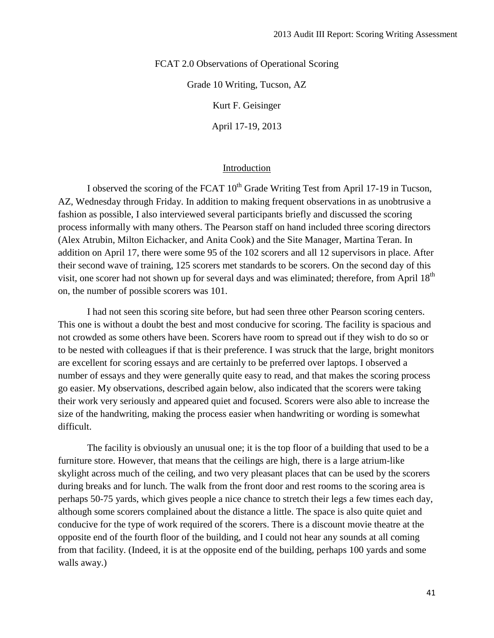FCAT 2.0 Observations of Operational Scoring

Grade 10 Writing, Tucson, AZ

Kurt F. Geisinger

April 17-19, 2013

## Introduction

I observed the scoring of the FCAT  $10^{th}$  Grade Writing Test from April 17-19 in Tucson, AZ, Wednesday through Friday. In addition to making frequent observations in as unobtrusive a fashion as possible, I also interviewed several participants briefly and discussed the scoring process informally with many others. The Pearson staff on hand included three scoring directors (Alex Atrubin, Milton Eichacker, and Anita Cook) and the Site Manager, Martina Teran. In addition on April 17, there were some 95 of the 102 scorers and all 12 supervisors in place. After their second wave of training, 125 scorers met standards to be scorers. On the second day of this visit, one scorer had not shown up for several days and was eliminated; therefore, from April 18<sup>th</sup> on, the number of possible scorers was 101.

I had not seen this scoring site before, but had seen three other Pearson scoring centers. This one is without a doubt the best and most conducive for scoring. The facility is spacious and not crowded as some others have been. Scorers have room to spread out if they wish to do so or to be nested with colleagues if that is their preference. I was struck that the large, bright monitors are excellent for scoring essays and are certainly to be preferred over laptops. I observed a number of essays and they were generally quite easy to read, and that makes the scoring process go easier. My observations, described again below, also indicated that the scorers were taking their work very seriously and appeared quiet and focused. Scorers were also able to increase the size of the handwriting, making the process easier when handwriting or wording is somewhat difficult.

The facility is obviously an unusual one; it is the top floor of a building that used to be a furniture store. However, that means that the ceilings are high, there is a large atrium-like skylight across much of the ceiling, and two very pleasant places that can be used by the scorers during breaks and for lunch. The walk from the front door and rest rooms to the scoring area is perhaps 50-75 yards, which gives people a nice chance to stretch their legs a few times each day, although some scorers complained about the distance a little. The space is also quite quiet and conducive for the type of work required of the scorers. There is a discount movie theatre at the opposite end of the fourth floor of the building, and I could not hear any sounds at all coming from that facility. (Indeed, it is at the opposite end of the building, perhaps 100 yards and some walls away.)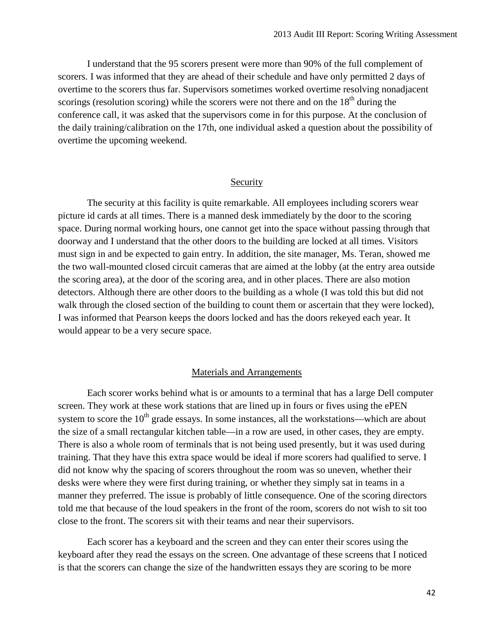I understand that the 95 scorers present were more than 90% of the full complement of scorers. I was informed that they are ahead of their schedule and have only permitted 2 days of overtime to the scorers thus far. Supervisors sometimes worked overtime resolving nonadjacent scorings (resolution scoring) while the scorers were not there and on the  $18<sup>th</sup>$  during the conference call, it was asked that the supervisors come in for this purpose. At the conclusion of the daily training/calibration on the 17th, one individual asked a question about the possibility of overtime the upcoming weekend.

#### Security

The security at this facility is quite remarkable. All employees including scorers wear picture id cards at all times. There is a manned desk immediately by the door to the scoring space. During normal working hours, one cannot get into the space without passing through that doorway and I understand that the other doors to the building are locked at all times. Visitors must sign in and be expected to gain entry. In addition, the site manager, Ms. Teran, showed me the two wall-mounted closed circuit cameras that are aimed at the lobby (at the entry area outside the scoring area), at the door of the scoring area, and in other places. There are also motion detectors. Although there are other doors to the building as a whole (I was told this but did not walk through the closed section of the building to count them or ascertain that they were locked), I was informed that Pearson keeps the doors locked and has the doors rekeyed each year. It would appear to be a very secure space.

#### Materials and Arrangements

Each scorer works behind what is or amounts to a terminal that has a large Dell computer screen. They work at these work stations that are lined up in fours or fives using the ePEN system to score the  $10<sup>th</sup>$  grade essays. In some instances, all the workstations—which are about the size of a small rectangular kitchen table—in a row are used, in other cases, they are empty. There is also a whole room of terminals that is not being used presently, but it was used during training. That they have this extra space would be ideal if more scorers had qualified to serve. I did not know why the spacing of scorers throughout the room was so uneven, whether their desks were where they were first during training, or whether they simply sat in teams in a manner they preferred. The issue is probably of little consequence. One of the scoring directors told me that because of the loud speakers in the front of the room, scorers do not wish to sit too close to the front. The scorers sit with their teams and near their supervisors.

Each scorer has a keyboard and the screen and they can enter their scores using the keyboard after they read the essays on the screen. One advantage of these screens that I noticed is that the scorers can change the size of the handwritten essays they are scoring to be more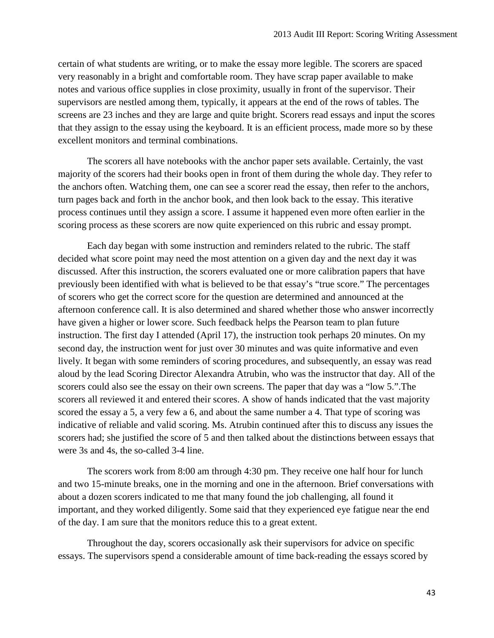certain of what students are writing, or to make the essay more legible. The scorers are spaced very reasonably in a bright and comfortable room. They have scrap paper available to make notes and various office supplies in close proximity, usually in front of the supervisor. Their supervisors are nestled among them, typically, it appears at the end of the rows of tables. The screens are 23 inches and they are large and quite bright. Scorers read essays and input the scores that they assign to the essay using the keyboard. It is an efficient process, made more so by these excellent monitors and terminal combinations.

The scorers all have notebooks with the anchor paper sets available. Certainly, the vast majority of the scorers had their books open in front of them during the whole day. They refer to the anchors often. Watching them, one can see a scorer read the essay, then refer to the anchors, turn pages back and forth in the anchor book, and then look back to the essay. This iterative process continues until they assign a score. I assume it happened even more often earlier in the scoring process as these scorers are now quite experienced on this rubric and essay prompt.

Each day began with some instruction and reminders related to the rubric. The staff decided what score point may need the most attention on a given day and the next day it was discussed. After this instruction, the scorers evaluated one or more calibration papers that have previously been identified with what is believed to be that essay's "true score." The percentages of scorers who get the correct score for the question are determined and announced at the afternoon conference call. It is also determined and shared whether those who answer incorrectly have given a higher or lower score. Such feedback helps the Pearson team to plan future instruction. The first day I attended (April 17), the instruction took perhaps 20 minutes. On my second day, the instruction went for just over 30 minutes and was quite informative and even lively. It began with some reminders of scoring procedures, and subsequently, an essay was read aloud by the lead Scoring Director Alexandra Atrubin, who was the instructor that day. All of the scorers could also see the essay on their own screens. The paper that day was a "low 5.".The scorers all reviewed it and entered their scores. A show of hands indicated that the vast majority scored the essay a 5, a very few a 6, and about the same number a 4. That type of scoring was indicative of reliable and valid scoring. Ms. Atrubin continued after this to discuss any issues the scorers had; she justified the score of 5 and then talked about the distinctions between essays that were 3s and 4s, the so-called 3-4 line.

The scorers work from 8:00 am through 4:30 pm. They receive one half hour for lunch and two 15-minute breaks, one in the morning and one in the afternoon. Brief conversations with about a dozen scorers indicated to me that many found the job challenging, all found it important, and they worked diligently. Some said that they experienced eye fatigue near the end of the day. I am sure that the monitors reduce this to a great extent.

Throughout the day, scorers occasionally ask their supervisors for advice on specific essays. The supervisors spend a considerable amount of time back-reading the essays scored by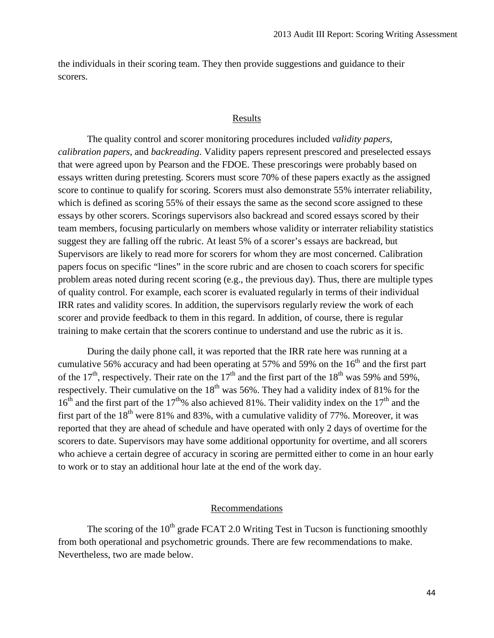the individuals in their scoring team. They then provide suggestions and guidance to their scorers.

## Results

The quality control and scorer monitoring procedures included *validity papers, calibration papers*, and *backreading*. Validity papers represent prescored and preselected essays that were agreed upon by Pearson and the FDOE. These prescorings were probably based on essays written during pretesting. Scorers must score 70% of these papers exactly as the assigned score to continue to qualify for scoring. Scorers must also demonstrate 55% interrater reliability, which is defined as scoring 55% of their essays the same as the second score assigned to these essays by other scorers. Scorings supervisors also backread and scored essays scored by their team members, focusing particularly on members whose validity or interrater reliability statistics suggest they are falling off the rubric. At least 5% of a scorer's essays are backread, but Supervisors are likely to read more for scorers for whom they are most concerned. Calibration papers focus on specific "lines" in the score rubric and are chosen to coach scorers for specific problem areas noted during recent scoring (e.g., the previous day). Thus, there are multiple types of quality control. For example, each scorer is evaluated regularly in terms of their individual IRR rates and validity scores. In addition, the supervisors regularly review the work of each scorer and provide feedback to them in this regard. In addition, of course, there is regular training to make certain that the scorers continue to understand and use the rubric as it is.

During the daily phone call, it was reported that the IRR rate here was running at a cumulative 56% accuracy and had been operating at 57% and 59% on the  $16<sup>th</sup>$  and the first part of the 17<sup>th</sup>, respectively. Their rate on the 17<sup>th</sup> and the first part of the 18<sup>th</sup> was 59% and 59%, respectively. Their cumulative on the  $18<sup>th</sup>$  was 56%. They had a validity index of 81% for the  $16<sup>th</sup>$  and the first part of the  $17<sup>th</sup>$ % also achieved 81%. Their validity index on the  $17<sup>th</sup>$  and the first part of the  $18<sup>th</sup>$  were 81% and 83%, with a cumulative validity of 77%. Moreover, it was reported that they are ahead of schedule and have operated with only 2 days of overtime for the scorers to date. Supervisors may have some additional opportunity for overtime, and all scorers who achieve a certain degree of accuracy in scoring are permitted either to come in an hour early to work or to stay an additional hour late at the end of the work day.

#### Recommendations

The scoring of the  $10<sup>th</sup>$  grade FCAT 2.0 Writing Test in Tucson is functioning smoothly from both operational and psychometric grounds. There are few recommendations to make. Nevertheless, two are made below.